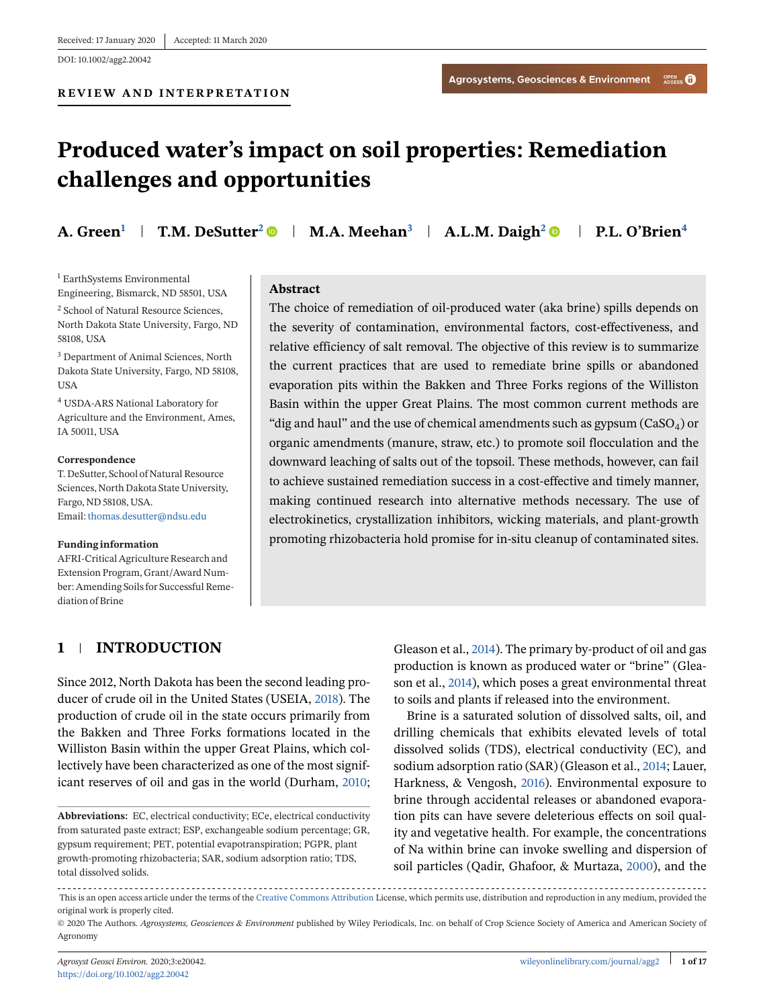# **Produced water's impact on soil properties: Remediation challenges and opportunities**

**A. Green**<sup>1</sup> **| T.M. DeSutter<sup>2</sup> <b>@** | M.A. Meehan<sup>3</sup> | A.L.M. Daigh<sup>2</sup> **@** | P.L. O'Brien<sup>4</sup>

<sup>1</sup> EarthSystems Environmental Engineering, Bismarck, ND 58501, USA

<sup>2</sup> School of Natural Resource Sciences, North Dakota State University, Fargo, ND 58108, USA

<sup>3</sup> Department of Animal Sciences, North Dakota State University, Fargo, ND 58108, USA

<sup>4</sup> USDA-ARS National Laboratory for Agriculture and the Environment, Ames, IA 50011, USA

#### **Correspondence**

T. DeSutter, School of Natural Resource Sciences, North Dakota State University, Fargo, ND 58108, USA. Email:[thomas.desutter@ndsu.edu](mailto:thomas.desutter@ndsu.edu)

#### **Funding information**

AFRI-Critical Agriculture Research and Extension Program, Grant/Award Number: Amending Soils for Successful Remediation of Brine

#### **Abstract**

The choice of remediation of oil-produced water (aka brine) spills depends on the severity of contamination, environmental factors, cost-effectiveness, and relative efficiency of salt removal. The objective of this review is to summarize the current practices that are used to remediate brine spills or abandoned evaporation pits within the Bakken and Three Forks regions of the Williston Basin within the upper Great Plains. The most common current methods are "dig and haul" and the use of chemical amendments such as gypsum  $(CaSO<sub>4</sub>)$  or organic amendments (manure, straw, etc.) to promote soil flocculation and the downward leaching of salts out of the topsoil. These methods, however, can fail to achieve sustained remediation success in a cost-effective and timely manner, making continued research into alternative methods necessary. The use of electrokinetics, crystallization inhibitors, wicking materials, and plant-growth promoting rhizobacteria hold promise for in-situ cleanup of contaminated sites.

# **1 INTRODUCTION**

Since 2012, North Dakota has been the second leading producer of crude oil in the United States (USEIA, 2018). The production of crude oil in the state occurs primarily from the Bakken and Three Forks formations located in the Williston Basin within the upper Great Plains, which collectively have been characterized as one of the most significant reserves of oil and gas in the world (Durham, 2010;

Gleason et al., 2014). The primary by-product of oil and gas production is known as produced water or "brine" (Gleason et al., 2014), which poses a great environmental threat to soils and plants if released into the environment.

Brine is a saturated solution of dissolved salts, oil, and drilling chemicals that exhibits elevated levels of total dissolved solids (TDS), electrical conductivity (EC), and sodium adsorption ratio (SAR) (Gleason et al., 2014; Lauer, Harkness, & Vengosh, 2016). Environmental exposure to brine through accidental releases or abandoned evaporation pits can have severe deleterious effects on soil quality and vegetative health. For example, the concentrations of Na within brine can invoke swelling and dispersion of soil particles (Qadir, Ghafoor, & Murtaza, 2000), and the

**Abbreviations:** EC, electrical conductivity; ECe, electrical conductivity from saturated paste extract; ESP, exchangeable sodium percentage; GR, gypsum requirement; PET, potential evapotranspiration; PGPR, plant growth-promoting rhizobacteria; SAR, sodium adsorption ratio; TDS, total dissolved solids.

This is an open access article under the terms of the [Creative Commons Attribution](http://creativecommons.org/licenses/by/4.0/) License, which permits use, distribution and reproduction in any medium, provided the original work is properly cited. © 2020 The Authors. *Agrosystems, Geosciences & Environment* published by Wiley Periodicals, Inc. on behalf of Crop Science Society of America and American Society of

Agronomy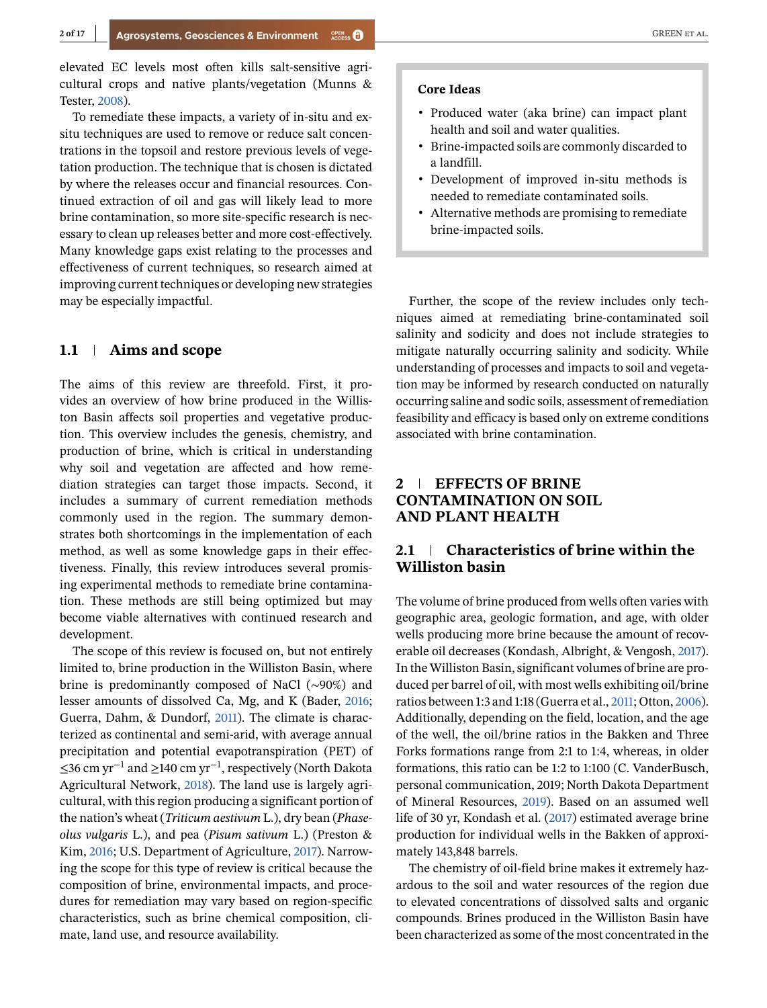elevated EC levels most often kills salt-sensitive agricultural crops and native plants/vegetation (Munns & Tester, 2008).

To remediate these impacts, a variety of in-situ and exsitu techniques are used to remove or reduce salt concentrations in the topsoil and restore previous levels of vegetation production. The technique that is chosen is dictated by where the releases occur and financial resources. Continued extraction of oil and gas will likely lead to more brine contamination, so more site-specific research is necessary to clean up releases better and more cost-effectively. Many knowledge gaps exist relating to the processes and effectiveness of current techniques, so research aimed at improving current techniques or developing new strategies may be especially impactful.

# **1.1 Aims and scope**

The aims of this review are threefold. First, it provides an overview of how brine produced in the Williston Basin affects soil properties and vegetative production. This overview includes the genesis, chemistry, and production of brine, which is critical in understanding why soil and vegetation are affected and how remediation strategies can target those impacts. Second, it includes a summary of current remediation methods commonly used in the region. The summary demonstrates both shortcomings in the implementation of each method, as well as some knowledge gaps in their effectiveness. Finally, this review introduces several promising experimental methods to remediate brine contamination. These methods are still being optimized but may become viable alternatives with continued research and development.

The scope of this review is focused on, but not entirely limited to, brine production in the Williston Basin, where brine is predominantly composed of NaCl (∼90%) and lesser amounts of dissolved Ca, Mg, and K (Bader, 2016; Guerra, Dahm, & Dundorf, 2011). The climate is characterized as continental and semi-arid, with average annual precipitation and potential evapotranspiration (PET) of ≤36 cm yr−<sup>1</sup> and ≥140 cm yr−<sup>1</sup> , respectively (North Dakota Agricultural Network, 2018). The land use is largely agricultural, with this region producing a significant portion of the nation's wheat (*Triticum aestivum* L.), dry bean (*Phaseolus vulgaris* L.), and pea (*Pisum sativum* L.) (Preston & Kim, 2016; U.S. Department of Agriculture, 2017). Narrowing the scope for this type of review is critical because the composition of brine, environmental impacts, and procedures for remediation may vary based on region-specific characteristics, such as brine chemical composition, climate, land use, and resource availability.

#### **Core Ideas**

- ∙ Produced water (aka brine) can impact plant health and soil and water qualities.
- ∙ Brine-impacted soils are commonly discarded to a landfill.
- ∙ Development of improved in-situ methods is needed to remediate contaminated soils.
- ∙ Alternative methods are promising to remediate brine-impacted soils.

Further, the scope of the review includes only techniques aimed at remediating brine-contaminated soil salinity and sodicity and does not include strategies to mitigate naturally occurring salinity and sodicity. While understanding of processes and impacts to soil and vegetation may be informed by research conducted on naturally occurring saline and sodic soils, assessment of remediation feasibility and efficacy is based only on extreme conditions associated with brine contamination.

# **2 EFFECTS OF BRINE CONTAMINATION ON SOIL AND PLANT HEALTH**

# **2.1 Characteristics of brine within the Williston basin**

The volume of brine produced from wells often varies with geographic area, geologic formation, and age, with older wells producing more brine because the amount of recoverable oil decreases (Kondash, Albright, & Vengosh, 2017). In the Williston Basin, significant volumes of brine are produced per barrel of oil, with most wells exhibiting oil/brine ratios between 1:3 and 1:18 (Guerra et al., 2011; Otton, 2006). Additionally, depending on the field, location, and the age of the well, the oil/brine ratios in the Bakken and Three Forks formations range from 2:1 to 1:4, whereas, in older formations, this ratio can be 1:2 to 1:100 (C. VanderBusch, personal communication, 2019; North Dakota Department of Mineral Resources, 2019). Based on an assumed well life of 30 yr, Kondash et al. (2017) estimated average brine production for individual wells in the Bakken of approximately 143,848 barrels.

The chemistry of oil-field brine makes it extremely hazardous to the soil and water resources of the region due to elevated concentrations of dissolved salts and organic compounds. Brines produced in the Williston Basin have been characterized as some of the most concentrated in the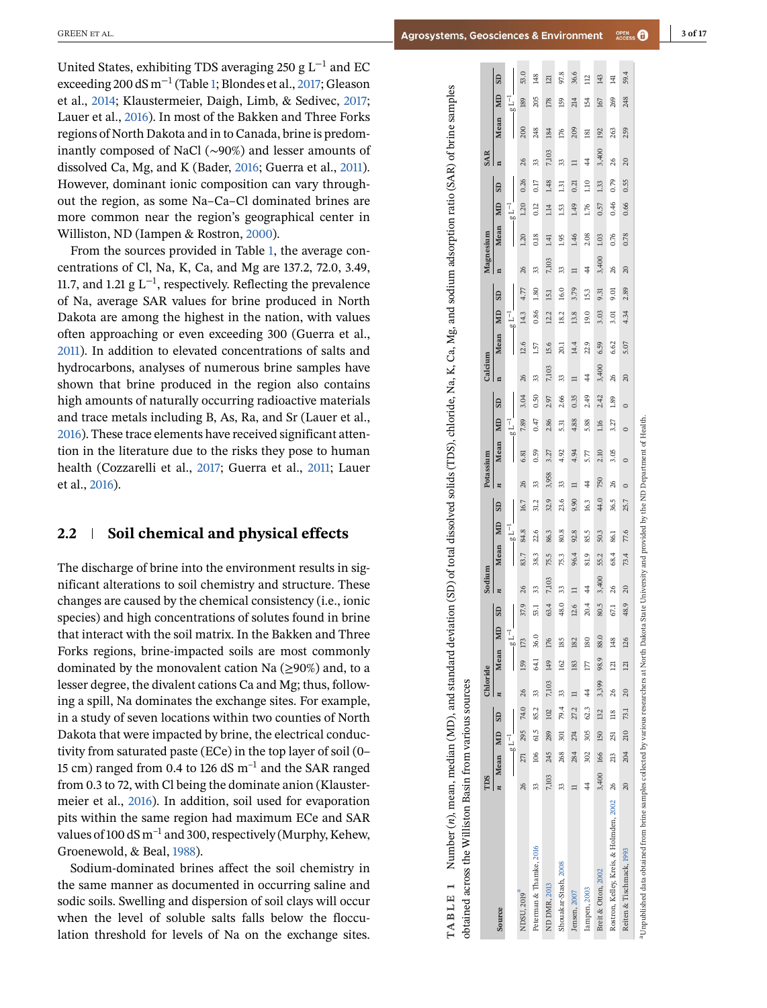United States, exhibiting TDS averaging 250 g  $\mathrm{L}^{-1}$  and EC exceeding 200 dS  $\mathrm{m}^{-1}$  (Table 1; Blondes et al., 2017; Gleason et al., 2014; Klaustermeier, Daigh, Limb, & Sedivec, 2017 ; Lauer et al., 2016). In most of the Bakken and Three Forks regions of North Dakota and in to Canada, brine is predominantly composed of NaCl (∼90%) and lesser amounts of dissolved Ca, Mg, and K (Bader, 2016; Guerra et al., 2011). However, dominant ionic composition can vary throughout the region, as some Na–Ca–Cl dominated brines are more common near the region's geographical center in Williston, ND (Iampen & Rostron, 2000).

From the sources provided in Table 1, the average concentrations of Cl, Na, K, Ca, and Mg are 137.2, 72.0, 3.49, 11.7, and 1.21  $\rm g~L^{-1}$ , respectively. Reflecting the prevalence of Na, average SAR values for brine produced in North Dakota are among the highest in the nation, with values often approaching or even exceeding 300 (Guerra et al., 2011). In addition to elevated concentrations of salts and hydrocarbons, analyses of numerous brine samples have shown that brine produced in the region also contains high amounts of naturally occurring radioactive materials and trace metals including B, As, Ra, and Sr (Lauer et al., 2016). These trace elements have received significant attention in the literature due to the risks they pose to human health (Cozzarelli et al., 2017; Guerra et al., 2011; Lauer et al., 2016).

## **2.2 Soil chemical and physical effects**

The discharge of brine into the environment results in significant alterations to soil chemistry and structure. These changes are caused by the chemical consistency (i.e., ionic species) and high concentrations of solutes found in brine that interact with the soil matrix. In the Bakken and Three Forks regions, brine-impacted soils are most commonly dominated by the monovalent cation Na ( ≥90%) and, to a lesser degree, the divalent cations Ca and Mg; thus, following a spill, Na dominates the exchange sites. For example, in a study of seven locations within two counties of North Dakota that were impacted by brine, the electrical conductivity from saturated paste (ECe) in the top layer of soil (0– 15 cm) ranged from 0.4 to 126 dS  $\text{m}$ <sup>-1</sup> and the SAR ranged from 0.3 to 72, with Cl being the dominate anion (Klaustermeier et al., 2016). In addition, soil used for evaporation pits within the same region had maximum ECe and SAR values of 100 dS  $m^{-1}$  and 300, respectively (Murphy, Kehew, Groenewold, & Beal, 1988).

Sodium-dominated brines affect the soil chemistry in the same manner as documented in occurring saline and sodic soils. Swelling and dispersion of soil clays will occur when the level of soluble salts falls below the flocculation threshold for levels of Na on the exchange sites.

| Mean<br>0.18<br>2.08<br>0.76<br>1.46<br>1.03<br>1.20<br>1.41<br>1.95<br>3,400<br>7,103<br>4<br>26<br>33<br>33<br>26<br>$\Box$<br>4.77<br>1.80<br>3.79<br>15.3<br>16.0<br>9.31<br>9.01<br>15.1<br>$\overline{\mathbf{S}}$<br><b>MD</b><br>$ \epsilon$ <sub>L-1</sub> $\epsilon$<br>0.86<br>14.3<br>3.03<br>12.2<br>18.2<br>13.8<br>19.0<br>3.01<br>Mean<br>22.9<br>6.59<br>12.6<br>15.6<br>14.4<br>6.62<br>1.57<br>20.1<br>3,400<br>7,103<br>26<br>4<br>26<br>33<br>33<br>$\Box$<br>0.50<br>2.42<br>3.04<br>0.35<br>2.49<br>2.97<br>2.66<br>1.89<br>$\overline{\text{SD}}$<br>$\overline{M}D$<br>0.47<br>$-$ g L <sup>-1</sup><br>7.89<br>2.86<br>4.88<br>5.88<br>3.27<br>1.16<br>5.31<br>Mean<br>0.59<br>4.92<br>2.10<br>3.05<br>3.27<br>4.94<br>5.77<br>6.81<br>3,958<br>750<br>4<br>33<br>26<br>26<br>33<br>$\Box$<br>32.9<br>44.0<br>23.6<br>9.90<br>36.5<br>16.3<br>16.7<br>31.2<br>$\overline{\mathbf{a}}$<br><b>MD</b><br>$-1$<br>84.8<br>22.6<br>80.8<br>92.8<br>86.3<br>50.3<br>77.6<br>85.5<br>86.1<br>Mean<br>83.7<br>38.3<br>96.4<br>75.5<br>81.9<br>55.2<br>68.4<br>75.3<br>3,400<br>7,103<br>4<br>26<br>26<br>33<br>33<br>$\Box$<br>80.5<br>63.4<br>20.4<br>48.0<br>37.9<br>12.6<br>53.1<br>67.1<br><b>CIS</b> CIN<br>$\begin{picture}(180,20) \put(0,0){\line(1,0){10}} \put(15,0){\line(1,0){10}} \put(15,0){\line(1,0){10}} \put(15,0){\line(1,0){10}} \put(15,0){\line(1,0){10}} \put(15,0){\line(1,0){10}} \put(15,0){\line(1,0){10}} \put(15,0){\line(1,0){10}} \put(15,0){\line(1,0){10}} \put(15,0){\line(1,0){10}} \put(15,0){\line(1,0){10}} \put(15,0){\line($<br>88.0<br>36.0<br>159 173<br>7,103 149 176<br>185<br>182<br>180<br>148<br>121 126<br>Mean<br>64.1<br>98.9<br>162<br>177<br>183<br>121<br>3,399<br>$302$ 305 62.3 44<br>20 204 210 73.1 20<br>26<br>26<br>33<br>33<br>$\equiv$<br>271 295 74.0<br>102<br>27.2<br>79.4<br>85.2<br>132<br>$\frac{18}{2}$<br>$\frac{1}{\sqrt{2}}$<br>n Mean MD SD<br>61.5<br>7,103 245 289<br>251<br>3,400 166 150<br>274<br>301<br>284<br>106<br>268<br>213<br>$\frac{4}{3}$<br>26<br>26<br>33<br>33<br>Ξ<br>Rostron, Kelley, Kreis, & Holmden, 2002<br>Peterman & Thamke, 2016<br>Shouakar-Stash, 2008<br>Breit & Otton, 2002<br>ND DMR, 2013<br>Iampen, 2003<br>NDSU, 2019 <sup>a</sup><br>Jensen, 2007<br>Source | TDS                      |  | Chloride |  |      | Sodium |      |      | Potassium |         |         |         | Calcium |      |      |      |                | Magnesium |            |                        | <b>SAR</b> |      |           |                       |  |
|------------------------------------------------------------------------------------------------------------------------------------------------------------------------------------------------------------------------------------------------------------------------------------------------------------------------------------------------------------------------------------------------------------------------------------------------------------------------------------------------------------------------------------------------------------------------------------------------------------------------------------------------------------------------------------------------------------------------------------------------------------------------------------------------------------------------------------------------------------------------------------------------------------------------------------------------------------------------------------------------------------------------------------------------------------------------------------------------------------------------------------------------------------------------------------------------------------------------------------------------------------------------------------------------------------------------------------------------------------------------------------------------------------------------------------------------------------------------------------------------------------------------------------------------------------------------------------------------------------------------------------------------------------------------------------------------------------------------------------------------------------------------------------------------------------------------------------------------------------------------------------------------------------------------------------------------------------------------------------------------------------------------------------------------------------------------------------------------------------------------------------------------------------------------------------------------------------------------------------------------------------------------------------------|--------------------------|--|----------|--|------|--------|------|------|-----------|---------|---------|---------|---------|------|------|------|----------------|-----------|------------|------------------------|------------|------|-----------|-----------------------|--|
|                                                                                                                                                                                                                                                                                                                                                                                                                                                                                                                                                                                                                                                                                                                                                                                                                                                                                                                                                                                                                                                                                                                                                                                                                                                                                                                                                                                                                                                                                                                                                                                                                                                                                                                                                                                                                                                                                                                                                                                                                                                                                                                                                                                                                                                                                          |                          |  |          |  |      |        |      |      |           |         |         |         |         |      |      |      |                |           | <b>MD</b>  | $\overline{\text{SD}}$ |            | Mean | <b>MD</b> | $\overline{\text{3}}$ |  |
|                                                                                                                                                                                                                                                                                                                                                                                                                                                                                                                                                                                                                                                                                                                                                                                                                                                                                                                                                                                                                                                                                                                                                                                                                                                                                                                                                                                                                                                                                                                                                                                                                                                                                                                                                                                                                                                                                                                                                                                                                                                                                                                                                                                                                                                                                          |                          |  |          |  |      |        |      |      |           |         |         |         |         |      |      |      |                |           | $-8L^{-1}$ |                        |            |      | $-5 + 1$  |                       |  |
|                                                                                                                                                                                                                                                                                                                                                                                                                                                                                                                                                                                                                                                                                                                                                                                                                                                                                                                                                                                                                                                                                                                                                                                                                                                                                                                                                                                                                                                                                                                                                                                                                                                                                                                                                                                                                                                                                                                                                                                                                                                                                                                                                                                                                                                                                          |                          |  |          |  |      |        |      |      |           |         |         |         |         |      |      |      |                |           | 1.20       | 0.26                   | 26         | 200  | 189       | 53.0                  |  |
|                                                                                                                                                                                                                                                                                                                                                                                                                                                                                                                                                                                                                                                                                                                                                                                                                                                                                                                                                                                                                                                                                                                                                                                                                                                                                                                                                                                                                                                                                                                                                                                                                                                                                                                                                                                                                                                                                                                                                                                                                                                                                                                                                                                                                                                                                          |                          |  |          |  |      |        |      |      |           |         |         |         |         |      |      |      |                |           | 0.12       | 0.17                   | 33         | 248  | 205       | 148                   |  |
|                                                                                                                                                                                                                                                                                                                                                                                                                                                                                                                                                                                                                                                                                                                                                                                                                                                                                                                                                                                                                                                                                                                                                                                                                                                                                                                                                                                                                                                                                                                                                                                                                                                                                                                                                                                                                                                                                                                                                                                                                                                                                                                                                                                                                                                                                          |                          |  |          |  |      |        |      |      |           |         |         |         |         |      |      |      |                |           | 1.14       | 1.48                   | 7,103      | 184  | 178       | 121                   |  |
|                                                                                                                                                                                                                                                                                                                                                                                                                                                                                                                                                                                                                                                                                                                                                                                                                                                                                                                                                                                                                                                                                                                                                                                                                                                                                                                                                                                                                                                                                                                                                                                                                                                                                                                                                                                                                                                                                                                                                                                                                                                                                                                                                                                                                                                                                          |                          |  |          |  |      |        |      |      |           |         |         |         |         |      |      |      |                |           | 1.53       | 1.31                   | 33         | 176  | 159       | 97.8                  |  |
|                                                                                                                                                                                                                                                                                                                                                                                                                                                                                                                                                                                                                                                                                                                                                                                                                                                                                                                                                                                                                                                                                                                                                                                                                                                                                                                                                                                                                                                                                                                                                                                                                                                                                                                                                                                                                                                                                                                                                                                                                                                                                                                                                                                                                                                                                          |                          |  |          |  |      |        |      |      |           |         |         |         |         |      |      |      |                |           | 1.49       | 0.21                   | $\Box$     | 209  | 214       | 36.6                  |  |
|                                                                                                                                                                                                                                                                                                                                                                                                                                                                                                                                                                                                                                                                                                                                                                                                                                                                                                                                                                                                                                                                                                                                                                                                                                                                                                                                                                                                                                                                                                                                                                                                                                                                                                                                                                                                                                                                                                                                                                                                                                                                                                                                                                                                                                                                                          |                          |  |          |  |      |        |      |      |           |         |         |         |         |      |      |      |                |           | 1.76       | 1.10                   | 4          | 181  | 154       | $\overline{12}$       |  |
|                                                                                                                                                                                                                                                                                                                                                                                                                                                                                                                                                                                                                                                                                                                                                                                                                                                                                                                                                                                                                                                                                                                                                                                                                                                                                                                                                                                                                                                                                                                                                                                                                                                                                                                                                                                                                                                                                                                                                                                                                                                                                                                                                                                                                                                                                          |                          |  |          |  |      |        |      |      |           |         |         |         |         |      |      |      |                |           | 0.57       | 1.33                   | 3,400      | 192  | 167       | 143                   |  |
|                                                                                                                                                                                                                                                                                                                                                                                                                                                                                                                                                                                                                                                                                                                                                                                                                                                                                                                                                                                                                                                                                                                                                                                                                                                                                                                                                                                                                                                                                                                                                                                                                                                                                                                                                                                                                                                                                                                                                                                                                                                                                                                                                                                                                                                                                          |                          |  |          |  |      |        |      |      |           |         |         |         |         |      |      |      |                |           | 0.46       | 0.79                   | 26         | 263  | 269       | 闰                     |  |
|                                                                                                                                                                                                                                                                                                                                                                                                                                                                                                                                                                                                                                                                                                                                                                                                                                                                                                                                                                                                                                                                                                                                                                                                                                                                                                                                                                                                                                                                                                                                                                                                                                                                                                                                                                                                                                                                                                                                                                                                                                                                                                                                                                                                                                                                                          | Reiten & Tischmack, 1993 |  |          |  | 48.9 | 20     | 73.4 | 25.7 | $\circ$   | $\circ$ | $\circ$ | $\circ$ | 20      | 5.07 | 4.34 | 2.89 | $\overline{a}$ | 0.78      | 0.66       | 0.55                   | 20         | 259  | 248       | 59.4                  |  |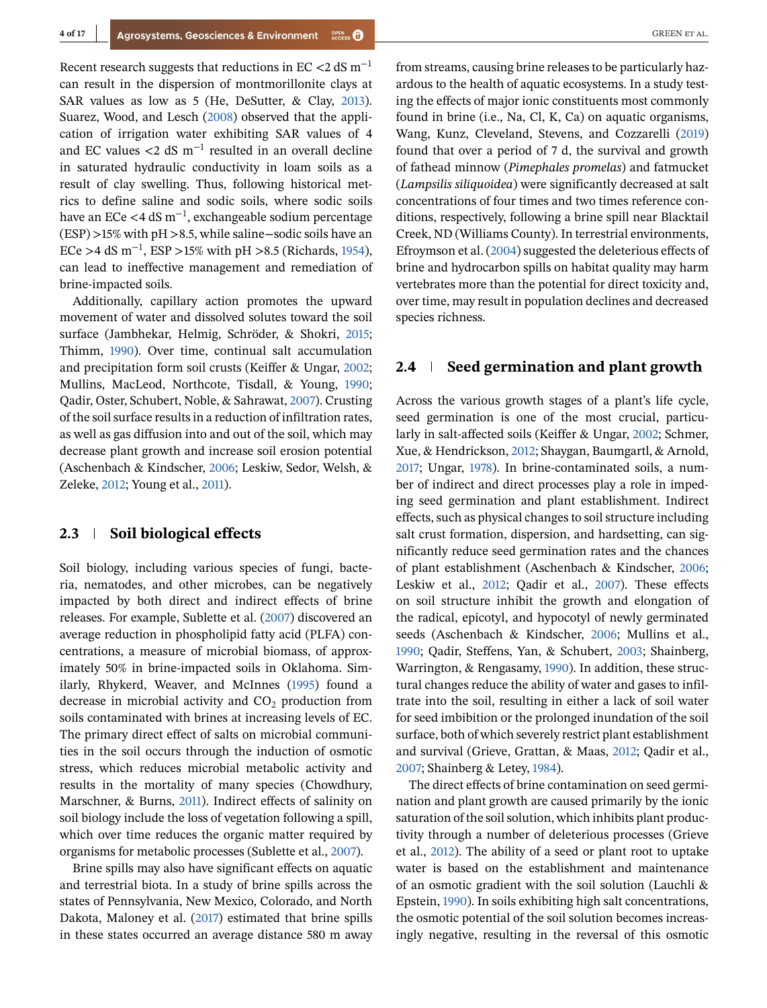Recent research suggests that reductions in EC <2 dS  $m^{-1}$ can result in the dispersion of montmorillonite clays at SAR values as low as 5 (He, DeSutter, & Clay, 2013). Suarez, Wood, and Lesch (2008) observed that the application of irrigation water exhibiting SAR values of 4 and EC values  $\langle$ 2 dS m<sup>-1</sup> resulted in an overall decline in saturated hydraulic conductivity in loam soils as a result of clay swelling. Thus, following historical metrics to define saline and sodic soils, where sodic soils have an ECe <4 dS m $^{-1}$ , exchangeable sodium percentage (ESP) >15% with pH >8.5, while saline−sodic soils have an ECe >4 dS m<sup>-1</sup>, ESP >15% with pH >8.5 (Richards, 1954), can lead to ineffective management and remediation of brine-impacted soils.

Additionally, capillary action promotes the upward movement of water and dissolved solutes toward the soil surface (Jambhekar, Helmig, Schröder, & Shokri, 2015; Thimm, 1990). Over time, continual salt accumulation and precipitation form soil crusts (Keiffer & Ungar, 2002; Mullins, MacLeod, Northcote, Tisdall, & Young, 1990; Qadir, Oster, Schubert, Noble, & Sahrawat, 2007). Crusting of the soil surface results in a reduction of infiltration rates, as well as gas diffusion into and out of the soil, which may decrease plant growth and increase soil erosion potential (Aschenbach & Kindscher, 2006; Leskiw, Sedor, Welsh, & Zeleke, 2012; Young et al., 2011).

#### **2.3 Soil biological effects**

Soil biology, including various species of fungi, bacteria, nematodes, and other microbes, can be negatively impacted by both direct and indirect effects of brine releases. For example, Sublette et al. (2007) discovered an average reduction in phospholipid fatty acid (PLFA) concentrations, a measure of microbial biomass, of approximately 50% in brine-impacted soils in Oklahoma. Similarly, Rhykerd, Weaver, and McInnes (1995) found a decrease in microbial activity and  $CO<sub>2</sub>$  production from soils contaminated with brines at increasing levels of EC. The primary direct effect of salts on microbial communities in the soil occurs through the induction of osmotic stress, which reduces microbial metabolic activity and results in the mortality of many species (Chowdhury, Marschner, & Burns, 2011). Indirect effects of salinity on soil biology include the loss of vegetation following a spill, which over time reduces the organic matter required by organisms for metabolic processes (Sublette et al., 2007).

Brine spills may also have significant effects on aquatic and terrestrial biota. In a study of brine spills across the states of Pennsylvania, New Mexico, Colorado, and North Dakota, Maloney et al. (2017) estimated that brine spills in these states occurred an average distance 580 m away

from streams, causing brine releases to be particularly hazardous to the health of aquatic ecosystems. In a study testing the effects of major ionic constituents most commonly found in brine (i.e., Na, Cl, K, Ca) on aquatic organisms, Wang, Kunz, Cleveland, Stevens, and Cozzarelli (2019) found that over a period of 7 d, the survival and growth of fathead minnow (*Pimephales promelas*) and fatmucket (*Lampsilis siliquoidea*) were significantly decreased at salt concentrations of four times and two times reference conditions, respectively, following a brine spill near Blacktail Creek, ND (Williams County). In terrestrial environments, Efroymson et al. (2004) suggested the deleterious effects of brine and hydrocarbon spills on habitat quality may harm vertebrates more than the potential for direct toxicity and, over time, may result in population declines and decreased species richness.

#### **2.4 Seed germination and plant growth**

Across the various growth stages of a plant's life cycle, seed germination is one of the most crucial, particularly in salt-affected soils (Keiffer & Ungar, 2002; Schmer, Xue, & Hendrickson, 2012; Shaygan, Baumgartl, & Arnold, 2017; Ungar, 1978). In brine-contaminated soils, a number of indirect and direct processes play a role in impeding seed germination and plant establishment. Indirect effects, such as physical changes to soil structure including salt crust formation, dispersion, and hardsetting, can significantly reduce seed germination rates and the chances of plant establishment (Aschenbach & Kindscher, 2006; Leskiw et al., 2012; Qadir et al., 2007). These effects on soil structure inhibit the growth and elongation of the radical, epicotyl, and hypocotyl of newly germinated seeds (Aschenbach & Kindscher, 2006; Mullins et al., 1990; Qadir, Steffens, Yan, & Schubert, 2003; Shainberg, Warrington, & Rengasamy, 1990). In addition, these structural changes reduce the ability of water and gases to infiltrate into the soil, resulting in either a lack of soil water for seed imbibition or the prolonged inundation of the soil surface, both of which severely restrict plant establishment and survival (Grieve, Grattan, & Maas, 2012; Qadir et al., 2007; Shainberg & Letey, 1984).

The direct effects of brine contamination on seed germination and plant growth are caused primarily by the ionic saturation of the soil solution, which inhibits plant productivity through a number of deleterious processes (Grieve et al., 2012). The ability of a seed or plant root to uptake water is based on the establishment and maintenance of an osmotic gradient with the soil solution (Lauchli & Epstein, 1990). In soils exhibiting high salt concentrations, the osmotic potential of the soil solution becomes increasingly negative, resulting in the reversal of this osmotic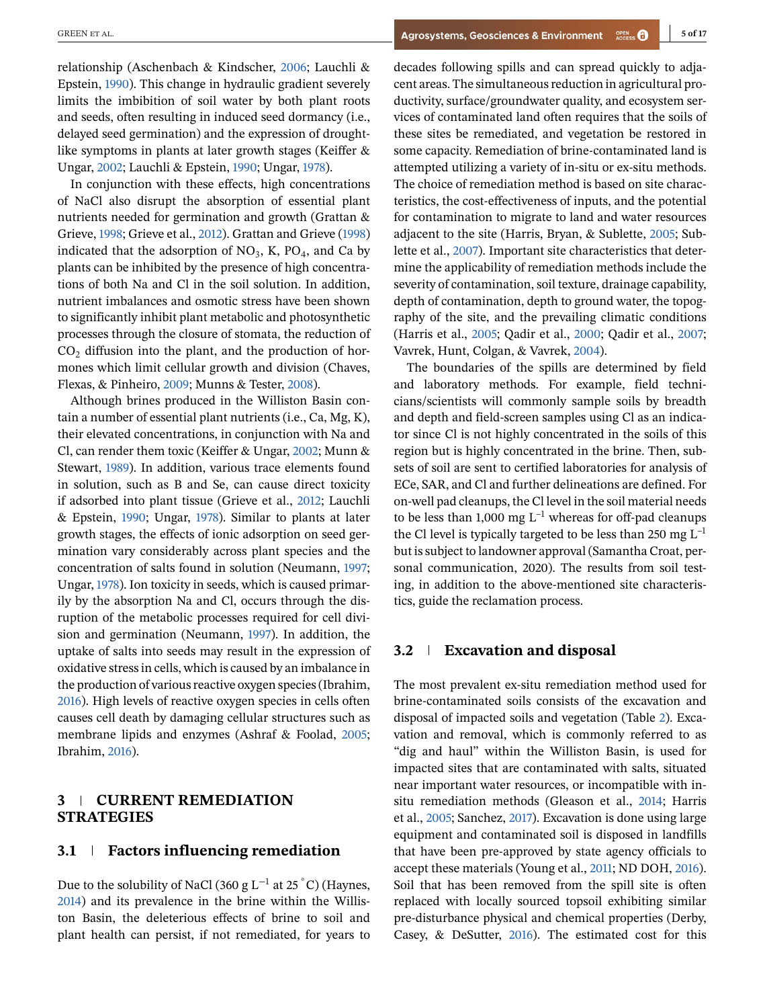relationship (Aschenbach & Kindscher, 2006; Lauchli & Epstein, 1990). This change in hydraulic gradient severely limits the imbibition of soil water by both plant roots and seeds, often resulting in induced seed dormancy (i.e., delayed seed germination) and the expression of droughtlike symptoms in plants at later growth stages (Keiffer & Ungar, 2002; Lauchli & Epstein, 1990; Ungar, 1978).

In conjunction with these effects, high concentrations of NaCl also disrupt the absorption of essential plant nutrients needed for germination and growth (Grattan & Grieve, 1998; Grieve et al., 2012). Grattan and Grieve (1998) indicated that the adsorption of  $NO<sub>3</sub>$ , K,  $PO<sub>4</sub>$ , and Ca by plants can be inhibited by the presence of high concentrations of both Na and Cl in the soil solution. In addition, nutrient imbalances and osmotic stress have been shown to significantly inhibit plant metabolic and photosynthetic processes through the closure of stomata, the reduction of  $CO<sub>2</sub>$  diffusion into the plant, and the production of hormones which limit cellular growth and division (Chaves, Flexas, & Pinheiro, 2009; Munns & Tester, 2008).

Although brines produced in the Williston Basin contain a number of essential plant nutrients (i.e., Ca, Mg, K), their elevated concentrations, in conjunction with Na and Cl, can render them toxic (Keiffer & Ungar, 2002; Munn & Stewart, 1989). In addition, various trace elements found in solution, such as B and Se, can cause direct toxicity if adsorbed into plant tissue (Grieve et al., 2012; Lauchli & Epstein, 1990; Ungar, 1978). Similar to plants at later growth stages, the effects of ionic adsorption on seed germination vary considerably across plant species and the concentration of salts found in solution (Neumann, 1997; Ungar, 1978). Ion toxicity in seeds, which is caused primarily by the absorption Na and Cl, occurs through the disruption of the metabolic processes required for cell division and germination (Neumann, 1997). In addition, the uptake of salts into seeds may result in the expression of oxidative stress in cells, which is caused by an imbalance in the production of various reactive oxygen species (Ibrahim, 2016). High levels of reactive oxygen species in cells often causes cell death by damaging cellular structures such as membrane lipids and enzymes (Ashraf & Foolad, 2005; Ibrahim, 2016).

# **3 CURRENT REMEDIATION STRATEGIES**

#### **3.1 Factors influencing remediation**

Due to the solubility of NaCl (360 g  $\mathrm{L}^{-1}$  at 25  $\mathrm{^{\circ}C})$  (Haynes, 2014) and its prevalence in the brine within the Williston Basin, the deleterious effects of brine to soil and plant health can persist, if not remediated, for years to decades following spills and can spread quickly to adjacent areas. The simultaneous reduction in agricultural productivity, surface/groundwater quality, and ecosystem services of contaminated land often requires that the soils of these sites be remediated, and vegetation be restored in some capacity. Remediation of brine-contaminated land is attempted utilizing a variety of in-situ or ex-situ methods. The choice of remediation method is based on site characteristics, the cost-effectiveness of inputs, and the potential for contamination to migrate to land and water resources adjacent to the site (Harris, Bryan, & Sublette, 2005; Sublette et al., 2007). Important site characteristics that determine the applicability of remediation methods include the severity of contamination, soil texture, drainage capability, depth of contamination, depth to ground water, the topography of the site, and the prevailing climatic conditions (Harris et al., 2005; Qadir et al., 2000; Qadir et al., 2007; Vavrek, Hunt, Colgan, & Vavrek, 2004).

The boundaries of the spills are determined by field and laboratory methods. For example, field technicians/scientists will commonly sample soils by breadth and depth and field-screen samples using Cl as an indicator since Cl is not highly concentrated in the soils of this region but is highly concentrated in the brine. Then, subsets of soil are sent to certified laboratories for analysis of ECe, SAR, and Cl and further delineations are defined. For on-well pad cleanups, the Cl level in the soil material needs to be less than 1,000 mg  $L^{-1}$  whereas for off-pad cleanups the Cl level is typically targeted to be less than 250 mg  $L^{-1}$ but is subject to landowner approval (Samantha Croat, personal communication, 2020). The results from soil testing, in addition to the above-mentioned site characteristics, guide the reclamation process.

#### **3.2 Excavation and disposal**

The most prevalent ex-situ remediation method used for brine-contaminated soils consists of the excavation and disposal of impacted soils and vegetation (Table [2\)](#page-5-0). Excavation and removal, which is commonly referred to as "dig and haul" within the Williston Basin, is used for impacted sites that are contaminated with salts, situated near important water resources, or incompatible with insitu remediation methods (Gleason et al., 2014; Harris et al., 2005; Sanchez, 2017). Excavation is done using large equipment and contaminated soil is disposed in landfills that have been pre-approved by state agency officials to accept these materials (Young et al., 2011; ND DOH, 2016). Soil that has been removed from the spill site is often replaced with locally sourced topsoil exhibiting similar pre-disturbance physical and chemical properties (Derby, Casey, & DeSutter, 2016). The estimated cost for this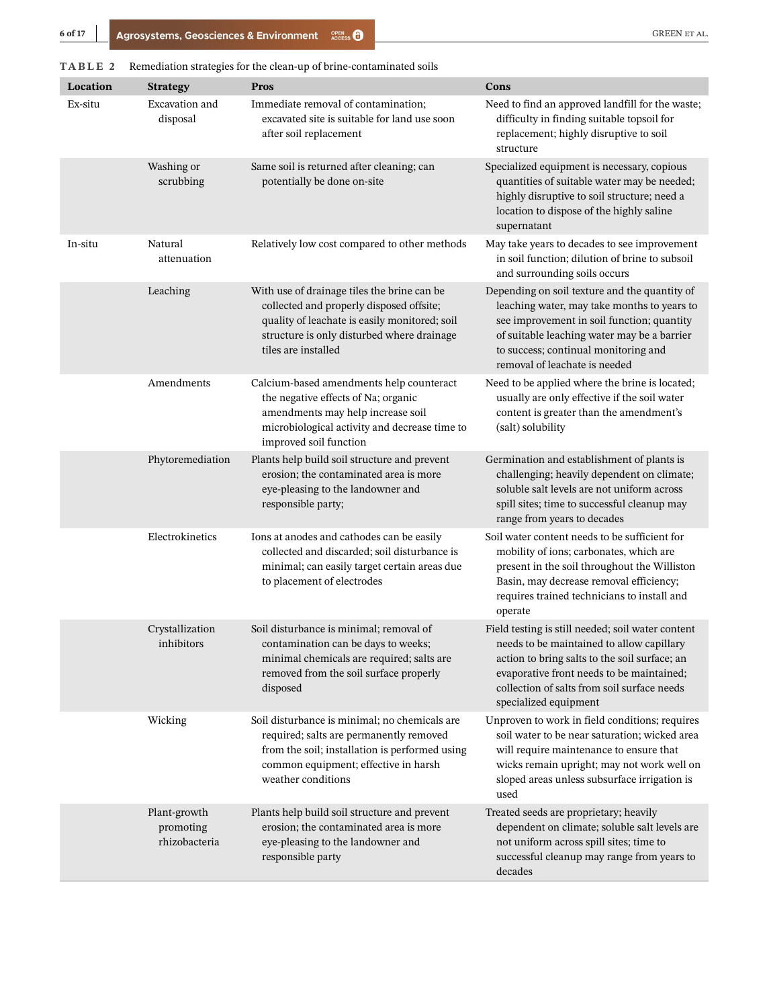<span id="page-5-0"></span>

| <b>TABLE 2</b> |                                            | Remediation strategies for the clean-up of brine-contaminated soils                                                                                                                                           |                                                                                                                                                                                                                                                                      |
|----------------|--------------------------------------------|---------------------------------------------------------------------------------------------------------------------------------------------------------------------------------------------------------------|----------------------------------------------------------------------------------------------------------------------------------------------------------------------------------------------------------------------------------------------------------------------|
| Location       | <b>Strategy</b>                            | Pros                                                                                                                                                                                                          | Cons                                                                                                                                                                                                                                                                 |
| Ex-situ        | Excavation and<br>disposal                 | Immediate removal of contamination;<br>excavated site is suitable for land use soon<br>after soil replacement                                                                                                 | Need to find an approved landfill for the waste;<br>difficulty in finding suitable topsoil for<br>replacement; highly disruptive to soil<br>structure                                                                                                                |
|                | Washing or<br>scrubbing                    | Same soil is returned after cleaning; can<br>potentially be done on-site                                                                                                                                      | Specialized equipment is necessary, copious<br>quantities of suitable water may be needed;<br>highly disruptive to soil structure; need a<br>location to dispose of the highly saline<br>supernatant                                                                 |
| In-situ        | Natural<br>attenuation                     | Relatively low cost compared to other methods                                                                                                                                                                 | May take years to decades to see improvement<br>in soil function; dilution of brine to subsoil<br>and surrounding soils occurs                                                                                                                                       |
|                | Leaching                                   | With use of drainage tiles the brine can be<br>collected and properly disposed offsite;<br>quality of leachate is easily monitored; soil<br>structure is only disturbed where drainage<br>tiles are installed | Depending on soil texture and the quantity of<br>leaching water, may take months to years to<br>see improvement in soil function; quantity<br>of suitable leaching water may be a barrier<br>to success; continual monitoring and<br>removal of leachate is needed   |
|                | Amendments                                 | Calcium-based amendments help counteract<br>the negative effects of Na; organic<br>amendments may help increase soil<br>microbiological activity and decrease time to<br>improved soil function               | Need to be applied where the brine is located;<br>usually are only effective if the soil water<br>content is greater than the amendment's<br>(salt) solubility                                                                                                       |
|                | Phytoremediation                           | Plants help build soil structure and prevent<br>erosion; the contaminated area is more<br>eye-pleasing to the landowner and<br>responsible party;                                                             | Germination and establishment of plants is<br>challenging; heavily dependent on climate;<br>soluble salt levels are not uniform across<br>spill sites; time to successful cleanup may<br>range from years to decades                                                 |
|                | Electrokinetics                            | Ions at anodes and cathodes can be easily<br>collected and discarded; soil disturbance is<br>minimal; can easily target certain areas due<br>to placement of electrodes                                       | Soil water content needs to be sufficient for<br>mobility of ions; carbonates, which are<br>present in the soil throughout the Williston<br>Basin, may decrease removal efficiency;<br>requires trained technicians to install and<br>operate                        |
|                | Crystallization<br>inhibitors              | Soil disturbance is minimal; removal of<br>contamination can be days to weeks;<br>minimal chemicals are required; salts are<br>removed from the soil surface properly<br>disposed                             | Field testing is still needed; soil water content<br>needs to be maintained to allow capillary<br>action to bring salts to the soil surface; an<br>evaporative front needs to be maintained;<br>collection of salts from soil surface needs<br>specialized equipment |
|                | Wicking                                    | Soil disturbance is minimal; no chemicals are<br>required; salts are permanently removed<br>from the soil; installation is performed using<br>common equipment; effective in harsh<br>weather conditions      | Unproven to work in field conditions; requires<br>soil water to be near saturation; wicked area<br>will require maintenance to ensure that<br>wicks remain upright; may not work well on<br>sloped areas unless subsurface irrigation is<br>used                     |
|                | Plant-growth<br>promoting<br>rhizobacteria | Plants help build soil structure and prevent<br>erosion; the contaminated area is more<br>eye-pleasing to the landowner and<br>responsible party                                                              | Treated seeds are proprietary; heavily<br>dependent on climate; soluble salt levels are<br>not uniform across spill sites; time to<br>successful cleanup may range from years to<br>decades                                                                          |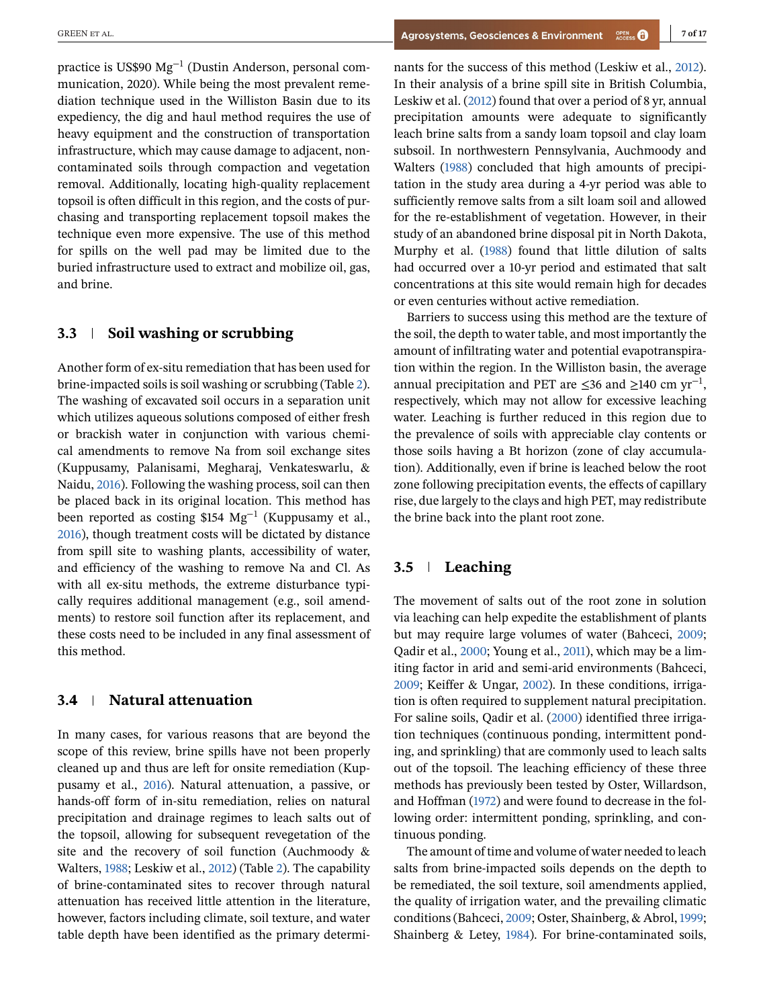practice is US\$90 Mg−<sup>1</sup> (Dustin Anderson, personal communication, 2020). While being the most prevalent remediation technique used in the Williston Basin due to its expediency, the dig and haul method requires the use of heavy equipment and the construction of transportation infrastructure, which may cause damage to adjacent, noncontaminated soils through compaction and vegetation removal. Additionally, locating high-quality replacement topsoil is often difficult in this region, and the costs of purchasing and transporting replacement topsoil makes the technique even more expensive. The use of this method for spills on the well pad may be limited due to the buried infrastructure used to extract and mobilize oil, gas, and brine.

## **3.3 Soil washing or scrubbing**

Another form of ex-situ remediation that has been used for brine-impacted soils is soil washing or scrubbing (Table [2\)](#page-5-0). The washing of excavated soil occurs in a separation unit which utilizes aqueous solutions composed of either fresh or brackish water in conjunction with various chemical amendments to remove Na from soil exchange sites (Kuppusamy, Palanisami, Megharaj, Venkateswarlu, & Naidu, 2016). Following the washing process, soil can then be placed back in its original location. This method has been reported as costing \$154  $Mg^{-1}$  (Kuppusamy et al., 2016), though treatment costs will be dictated by distance from spill site to washing plants, accessibility of water, and efficiency of the washing to remove Na and Cl. As with all ex-situ methods, the extreme disturbance typically requires additional management (e.g., soil amendments) to restore soil function after its replacement, and these costs need to be included in any final assessment of this method.

# **3.4 Natural attenuation**

In many cases, for various reasons that are beyond the scope of this review, brine spills have not been properly cleaned up and thus are left for onsite remediation (Kuppusamy et al., 2016). Natural attenuation, a passive, or hands-off form of in-situ remediation, relies on natural precipitation and drainage regimes to leach salts out of the topsoil, allowing for subsequent revegetation of the site and the recovery of soil function (Auchmoody & Walters, 1988; Leskiw et al., 2012) (Table [2\)](#page-5-0). The capability of brine-contaminated sites to recover through natural attenuation has received little attention in the literature, however, factors including climate, soil texture, and water table depth have been identified as the primary determinants for the success of this method (Leskiw et al., 2012). In their analysis of a brine spill site in British Columbia, Leskiw et al. (2012) found that over a period of 8 yr, annual precipitation amounts were adequate to significantly leach brine salts from a sandy loam topsoil and clay loam subsoil. In northwestern Pennsylvania, Auchmoody and Walters (1988) concluded that high amounts of precipitation in the study area during a 4-yr period was able to sufficiently remove salts from a silt loam soil and allowed for the re-establishment of vegetation. However, in their study of an abandoned brine disposal pit in North Dakota, Murphy et al. (1988) found that little dilution of salts had occurred over a 10-yr period and estimated that salt concentrations at this site would remain high for decades or even centuries without active remediation.

Barriers to success using this method are the texture of the soil, the depth to water table, and most importantly the amount of infiltrating water and potential evapotranspiration within the region. In the Williston basin, the average annual precipitation and PET are  $\leq$ 36 and  $\geq$ 140 cm yr<sup>-1</sup>, respectively, which may not allow for excessive leaching water. Leaching is further reduced in this region due to the prevalence of soils with appreciable clay contents or those soils having a Bt horizon (zone of clay accumulation). Additionally, even if brine is leached below the root zone following precipitation events, the effects of capillary rise, due largely to the clays and high PET, may redistribute the brine back into the plant root zone.

# **3.5 Leaching**

The movement of salts out of the root zone in solution via leaching can help expedite the establishment of plants but may require large volumes of water (Bahceci, 2009; Qadir et al., 2000; Young et al., 2011), which may be a limiting factor in arid and semi-arid environments (Bahceci, 2009; Keiffer & Ungar, 2002). In these conditions, irrigation is often required to supplement natural precipitation. For saline soils, Qadir et al. (2000) identified three irrigation techniques (continuous ponding, intermittent ponding, and sprinkling) that are commonly used to leach salts out of the topsoil. The leaching efficiency of these three methods has previously been tested by Oster, Willardson, and Hoffman (1972) and were found to decrease in the following order: intermittent ponding, sprinkling, and continuous ponding.

The amount of time and volume of water needed to leach salts from brine-impacted soils depends on the depth to be remediated, the soil texture, soil amendments applied, the quality of irrigation water, and the prevailing climatic conditions (Bahceci, 2009; Oster, Shainberg, & Abrol,1999; Shainberg & Letey, 1984). For brine-contaminated soils,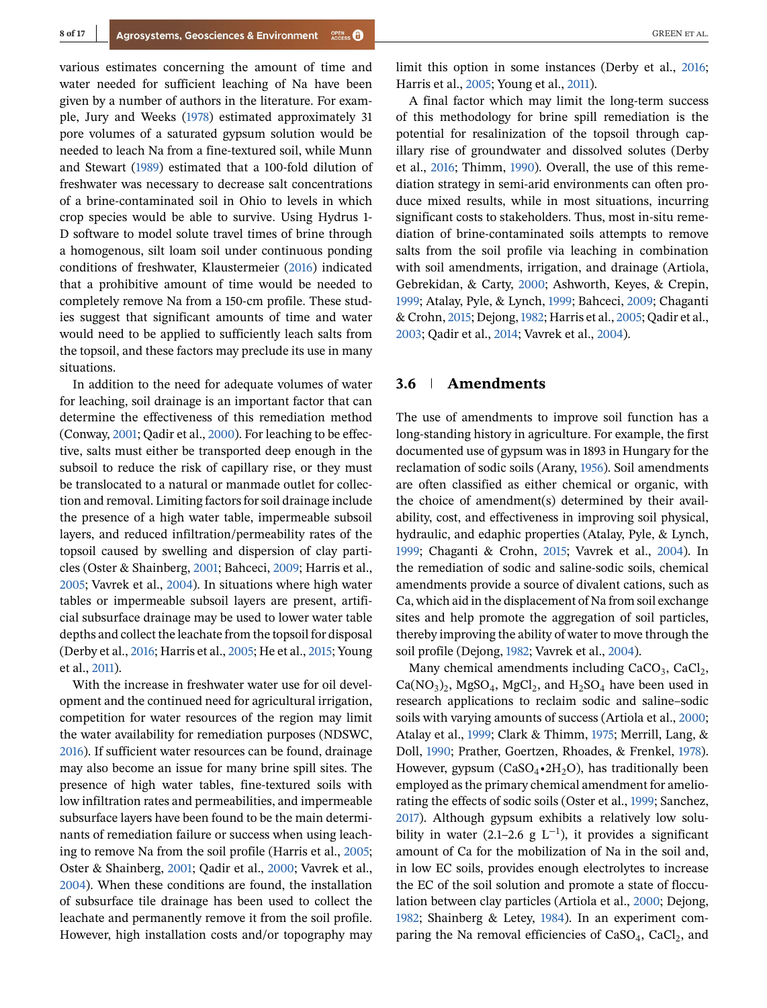various estimates concerning the amount of time and water needed for sufficient leaching of Na have been given by a number of authors in the literature. For example, Jury and Weeks (1978) estimated approximately 31 pore volumes of a saturated gypsum solution would be needed to leach Na from a fine-textured soil, while Munn and Stewart (1989) estimated that a 100-fold dilution of freshwater was necessary to decrease salt concentrations of a brine-contaminated soil in Ohio to levels in which crop species would be able to survive. Using Hydrus 1- D software to model solute travel times of brine through a homogenous, silt loam soil under continuous ponding conditions of freshwater, Klaustermeier (2016) indicated that a prohibitive amount of time would be needed to completely remove Na from a 150-cm profile. These studies suggest that significant amounts of time and water would need to be applied to sufficiently leach salts from the topsoil, and these factors may preclude its use in many situations.

In addition to the need for adequate volumes of water for leaching, soil drainage is an important factor that can determine the effectiveness of this remediation method (Conway, 2001; Qadir et al., 2000). For leaching to be effective, salts must either be transported deep enough in the subsoil to reduce the risk of capillary rise, or they must be translocated to a natural or manmade outlet for collection and removal. Limiting factors for soil drainage include the presence of a high water table, impermeable subsoil layers, and reduced infiltration/permeability rates of the topsoil caused by swelling and dispersion of clay particles (Oster & Shainberg, 2001; Bahceci, 2009; Harris et al., 2005; Vavrek et al., 2004). In situations where high water tables or impermeable subsoil layers are present, artificial subsurface drainage may be used to lower water table depths and collect the leachate from the topsoil for disposal (Derby et al., 2016; Harris et al., 2005; He et al., 2015; Young et al., 2011).

With the increase in freshwater water use for oil development and the continued need for agricultural irrigation, competition for water resources of the region may limit the water availability for remediation purposes (NDSWC, 2016). If sufficient water resources can be found, drainage may also become an issue for many brine spill sites. The presence of high water tables, fine-textured soils with low infiltration rates and permeabilities, and impermeable subsurface layers have been found to be the main determinants of remediation failure or success when using leaching to remove Na from the soil profile (Harris et al., 2005; Oster & Shainberg, 2001; Qadir et al., 2000; Vavrek et al., 2004). When these conditions are found, the installation of subsurface tile drainage has been used to collect the leachate and permanently remove it from the soil profile. However, high installation costs and/or topography may limit this option in some instances (Derby et al., 2016; Harris et al., 2005; Young et al., 2011).

A final factor which may limit the long-term success of this methodology for brine spill remediation is the potential for resalinization of the topsoil through capillary rise of groundwater and dissolved solutes (Derby et al., 2016; Thimm, 1990). Overall, the use of this remediation strategy in semi-arid environments can often produce mixed results, while in most situations, incurring significant costs to stakeholders. Thus, most in-situ remediation of brine-contaminated soils attempts to remove salts from the soil profile via leaching in combination with soil amendments, irrigation, and drainage (Artiola, Gebrekidan, & Carty, 2000; Ashworth, Keyes, & Crepin, 1999; Atalay, Pyle, & Lynch, 1999; Bahceci, 2009; Chaganti & Crohn, 2015; Dejong,1982; Harris et al., 2005; Qadir et al., 2003; Qadir et al., 2014; Vavrek et al., 2004).

## **3.6 Amendments**

The use of amendments to improve soil function has a long-standing history in agriculture. For example, the first documented use of gypsum was in 1893 in Hungary for the reclamation of sodic soils (Arany, 1956). Soil amendments are often classified as either chemical or organic, with the choice of amendment(s) determined by their availability, cost, and effectiveness in improving soil physical, hydraulic, and edaphic properties (Atalay, Pyle, & Lynch, 1999; Chaganti & Crohn, 2015; Vavrek et al., 2004). In the remediation of sodic and saline-sodic soils, chemical amendments provide a source of divalent cations, such as Ca, which aid in the displacement of Na from soil exchange sites and help promote the aggregation of soil particles, thereby improving the ability of water to move through the soil profile (Dejong, 1982; Vavrek et al., 2004).

Many chemical amendments including  $CaCO<sub>3</sub>$ ,  $CaCl<sub>2</sub>$ ,  $Ca(NO<sub>3</sub>)<sub>2</sub>$ , MgSO<sub>4</sub>, MgCl<sub>2</sub>, and H<sub>2</sub>SO<sub>4</sub> have been used in research applications to reclaim sodic and saline–sodic soils with varying amounts of success (Artiola et al., 2000; Atalay et al., 1999; Clark & Thimm, 1975; Merrill, Lang, & Doll, 1990; Prather, Goertzen, Rhoades, & Frenkel, 1978). However, gypsum ( $CaSO_4\bullet 2H_2O$ ), has traditionally been employed as the primary chemical amendment for ameliorating the effects of sodic soils (Oster et al., 1999; Sanchez, 2017). Although gypsum exhibits a relatively low solubility in water (2.1–2.6 g  $L^{-1}$ ), it provides a significant amount of Ca for the mobilization of Na in the soil and, in low EC soils, provides enough electrolytes to increase the EC of the soil solution and promote a state of flocculation between clay particles (Artiola et al., 2000; Dejong, 1982; Shainberg & Letey, 1984). In an experiment comparing the Na removal efficiencies of  $CaSO_4$ ,  $CaCl<sub>2</sub>$ , and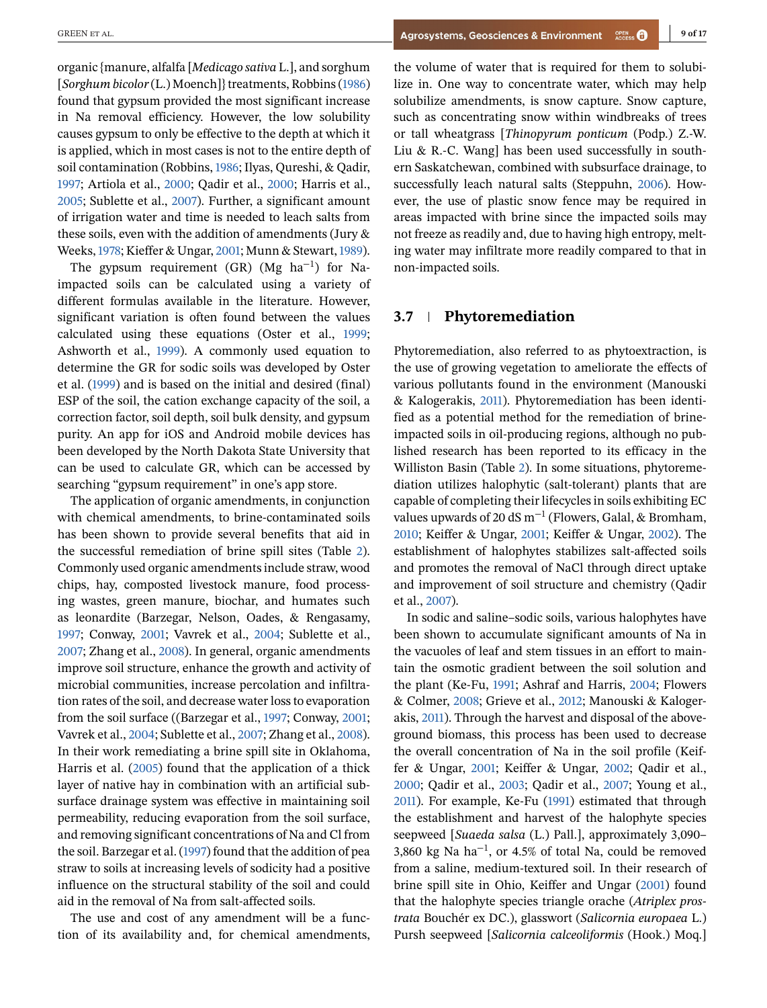organic {manure, alfalfa [*Medicago sativa* L.], and sorghum [*Sorghum bicolor*(L.) Moench]} treatments, Robbins (1986) found that gypsum provided the most significant increase in Na removal efficiency. However, the low solubility causes gypsum to only be effective to the depth at which it is applied, which in most cases is not to the entire depth of soil contamination (Robbins,1986; Ilyas, Qureshi, & Qadir, 1997; Artiola et al., 2000; Qadir et al., 2000; Harris et al., 2005; Sublette et al., 2007). Further, a significant amount of irrigation water and time is needed to leach salts from these soils, even with the addition of amendments (Jury & Weeks,1978; Kieffer & Ungar, 2001; Munn & Stewart,1989).

The gypsum requirement (GR) (Mg ha<sup>-1</sup>) for Naimpacted soils can be calculated using a variety of different formulas available in the literature. However, significant variation is often found between the values calculated using these equations (Oster et al., 1999; Ashworth et al., 1999). A commonly used equation to determine the GR for sodic soils was developed by Oster et al. (1999) and is based on the initial and desired (final) ESP of the soil, the cation exchange capacity of the soil, a correction factor, soil depth, soil bulk density, and gypsum purity. An app for iOS and Android mobile devices has been developed by the North Dakota State University that can be used to calculate GR, which can be accessed by searching "gypsum requirement" in one's app store.

The application of organic amendments, in conjunction with chemical amendments, to brine-contaminated soils has been shown to provide several benefits that aid in the successful remediation of brine spill sites (Table [2\)](#page-5-0). Commonly used organic amendments include straw, wood chips, hay, composted livestock manure, food processing wastes, green manure, biochar, and humates such as leonardite (Barzegar, Nelson, Oades, & Rengasamy, 1997; Conway, 2001; Vavrek et al., 2004; Sublette et al., 2007; Zhang et al., 2008). In general, organic amendments improve soil structure, enhance the growth and activity of microbial communities, increase percolation and infiltration rates of the soil, and decrease water loss to evaporation from the soil surface ((Barzegar et al., 1997; Conway, 2001; Vavrek et al., 2004; Sublette et al., 2007; Zhang et al., 2008). In their work remediating a brine spill site in Oklahoma, Harris et al. (2005) found that the application of a thick layer of native hay in combination with an artificial subsurface drainage system was effective in maintaining soil permeability, reducing evaporation from the soil surface, and removing significant concentrations of Na and Cl from the soil. Barzegar et al. (1997) found that the addition of pea straw to soils at increasing levels of sodicity had a positive influence on the structural stability of the soil and could aid in the removal of Na from salt-affected soils.

The use and cost of any amendment will be a function of its availability and, for chemical amendments, the volume of water that is required for them to solubilize in. One way to concentrate water, which may help solubilize amendments, is snow capture. Snow capture, such as concentrating snow within windbreaks of trees or tall wheatgrass [*Thinopyrum ponticum* (Podp.) Z.-W. Liu & R.-C. Wang] has been used successfully in southern Saskatchewan, combined with subsurface drainage, to successfully leach natural salts (Steppuhn, 2006). However, the use of plastic snow fence may be required in areas impacted with brine since the impacted soils may not freeze as readily and, due to having high entropy, melting water may infiltrate more readily compared to that in non-impacted soils.

## **3.7 Phytoremediation**

Phytoremediation, also referred to as phytoextraction, is the use of growing vegetation to ameliorate the effects of various pollutants found in the environment (Manouski & Kalogerakis, 2011). Phytoremediation has been identified as a potential method for the remediation of brineimpacted soils in oil-producing regions, although no published research has been reported to its efficacy in the Williston Basin (Table [2\)](#page-5-0). In some situations, phytoremediation utilizes halophytic (salt-tolerant) plants that are capable of completing their lifecycles in soils exhibiting EC values upwards of 20 dS m<sup>-1</sup> (Flowers, Galal, & Bromham, 2010; Keiffer & Ungar, 2001; Keiffer & Ungar, 2002). The establishment of halophytes stabilizes salt-affected soils and promotes the removal of NaCl through direct uptake and improvement of soil structure and chemistry (Qadir et al., 2007).

In sodic and saline–sodic soils, various halophytes have been shown to accumulate significant amounts of Na in the vacuoles of leaf and stem tissues in an effort to maintain the osmotic gradient between the soil solution and the plant (Ke-Fu, 1991; Ashraf and Harris, 2004; Flowers & Colmer, 2008; Grieve et al., 2012; Manouski & Kalogerakis, 2011). Through the harvest and disposal of the aboveground biomass, this process has been used to decrease the overall concentration of Na in the soil profile (Keiffer & Ungar, 2001; Keiffer & Ungar, 2002; Qadir et al., 2000; Qadir et al., 2003; Qadir et al., 2007; Young et al., 2011). For example, Ke-Fu (1991) estimated that through the establishment and harvest of the halophyte species seepweed [*Suaeda salsa* (L.) Pall.], approximately 3,090– 3,860 kg Na  $ha^{-1}$ , or 4.5% of total Na, could be removed from a saline, medium-textured soil. In their research of brine spill site in Ohio, Keiffer and Ungar (2001) found that the halophyte species triangle orache (*Atriplex prostrata* Bouchér ex DC.), glasswort (*Salicornia europaea* L.) Pursh seepweed [*Salicornia calceoliformis* (Hook.) Moq.]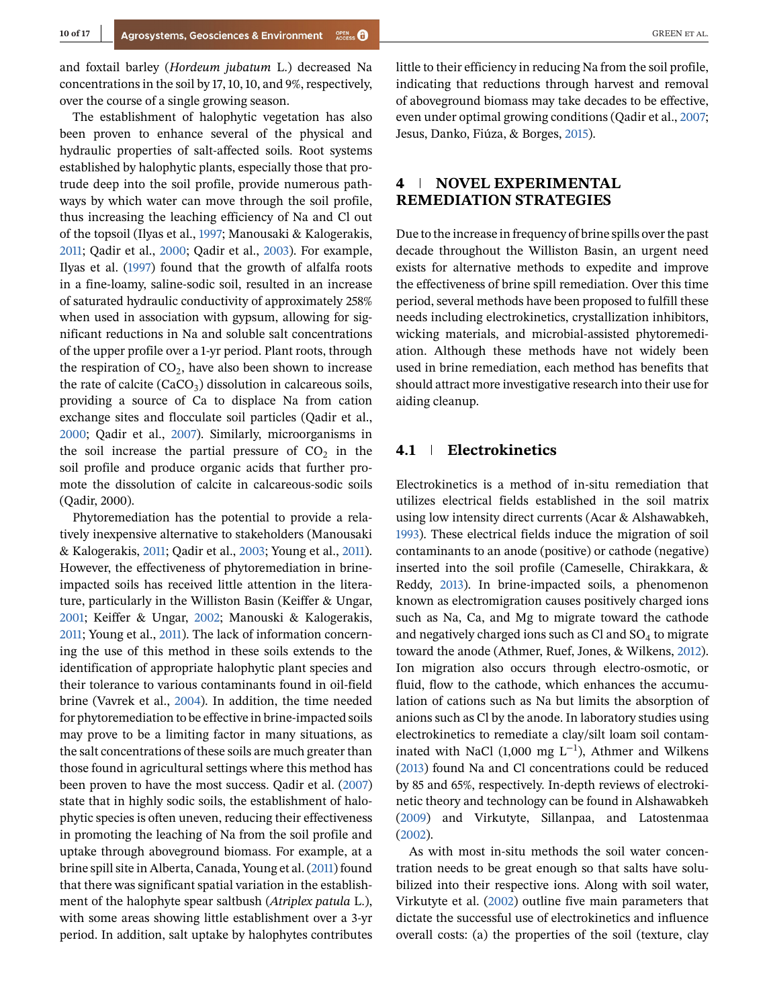and foxtail barley (*Hordeum jubatum* L.) decreased Na concentrations in the soil by 17, 10, 10, and 9%, respectively, over the course of a single growing season.

The establishment of halophytic vegetation has also been proven to enhance several of the physical and hydraulic properties of salt-affected soils. Root systems established by halophytic plants, especially those that protrude deep into the soil profile, provide numerous pathways by which water can move through the soil profile, thus increasing the leaching efficiency of Na and Cl out of the topsoil (Ilyas et al., 1997; Manousaki & Kalogerakis, 2011; Qadir et al., 2000; Qadir et al., 2003). For example, Ilyas et al. (1997) found that the growth of alfalfa roots in a fine-loamy, saline-sodic soil, resulted in an increase of saturated hydraulic conductivity of approximately 258% when used in association with gypsum, allowing for significant reductions in Na and soluble salt concentrations of the upper profile over a 1-yr period. Plant roots, through the respiration of  $CO<sub>2</sub>$ , have also been shown to increase the rate of calcite  $(CaCO<sub>3</sub>)$  dissolution in calcareous soils, providing a source of Ca to displace Na from cation exchange sites and flocculate soil particles (Qadir et al., 2000; Qadir et al., 2007). Similarly, microorganisms in the soil increase the partial pressure of  $CO<sub>2</sub>$  in the soil profile and produce organic acids that further promote the dissolution of calcite in calcareous-sodic soils (Qadir, 2000).

Phytoremediation has the potential to provide a relatively inexpensive alternative to stakeholders (Manousaki & Kalogerakis, 2011; Qadir et al., 2003; Young et al., 2011). However, the effectiveness of phytoremediation in brineimpacted soils has received little attention in the literature, particularly in the Williston Basin (Keiffer & Ungar, 2001; Keiffer & Ungar, 2002; Manouski & Kalogerakis, 2011; Young et al., 2011). The lack of information concerning the use of this method in these soils extends to the identification of appropriate halophytic plant species and their tolerance to various contaminants found in oil-field brine (Vavrek et al., 2004). In addition, the time needed for phytoremediation to be effective in brine-impacted soils may prove to be a limiting factor in many situations, as the salt concentrations of these soils are much greater than those found in agricultural settings where this method has been proven to have the most success. Qadir et al. (2007) state that in highly sodic soils, the establishment of halophytic species is often uneven, reducing their effectiveness in promoting the leaching of Na from the soil profile and uptake through aboveground biomass. For example, at a brine spill site in Alberta, Canada, Young et al. (2011) found that there was significant spatial variation in the establishment of the halophyte spear saltbush (*Atriplex patula* L.), with some areas showing little establishment over a 3-yr period. In addition, salt uptake by halophytes contributes little to their efficiency in reducing Na from the soil profile, indicating that reductions through harvest and removal of aboveground biomass may take decades to be effective, even under optimal growing conditions (Qadir et al., 2007; Jesus, Danko, Fiúza, & Borges, 2015).

# **4 NOVEL EXPERIMENTAL REMEDIATION STRATEGIES**

Due to the increase in frequency of brine spills over the past decade throughout the Williston Basin, an urgent need exists for alternative methods to expedite and improve the effectiveness of brine spill remediation. Over this time period, several methods have been proposed to fulfill these needs including electrokinetics, crystallization inhibitors, wicking materials, and microbial-assisted phytoremediation. Although these methods have not widely been used in brine remediation, each method has benefits that should attract more investigative research into their use for aiding cleanup.

## **4.1 Electrokinetics**

Electrokinetics is a method of in-situ remediation that utilizes electrical fields established in the soil matrix using low intensity direct currents (Acar & Alshawabkeh, 1993). These electrical fields induce the migration of soil contaminants to an anode (positive) or cathode (negative) inserted into the soil profile (Cameselle, Chirakkara, & Reddy, 2013). In brine-impacted soils, a phenomenon known as electromigration causes positively charged ions such as Na, Ca, and Mg to migrate toward the cathode and negatively charged ions such as Cl and  $SO<sub>4</sub>$  to migrate toward the anode (Athmer, Ruef, Jones, & Wilkens, 2012). Ion migration also occurs through electro-osmotic, or fluid, flow to the cathode, which enhances the accumulation of cations such as Na but limits the absorption of anions such as Cl by the anode. In laboratory studies using electrokinetics to remediate a clay/silt loam soil contaminated with NaCl (1,000 mg  $L^{-1}$ ), Athmer and Wilkens (2013) found Na and Cl concentrations could be reduced by 85 and 65%, respectively. In-depth reviews of electrokinetic theory and technology can be found in Alshawabkeh (2009) and Virkutyte, Sillanpaa, and Latostenmaa (2002).

As with most in-situ methods the soil water concentration needs to be great enough so that salts have solubilized into their respective ions. Along with soil water, Virkutyte et al. (2002) outline five main parameters that dictate the successful use of electrokinetics and influence overall costs: (a) the properties of the soil (texture, clay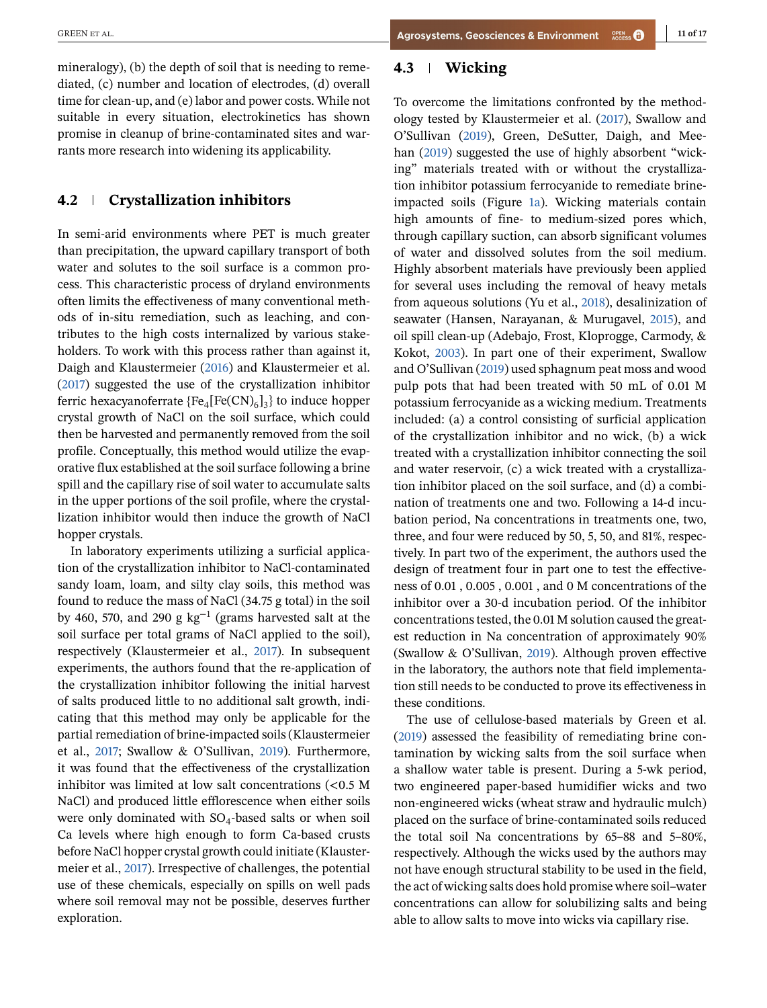mineralogy), (b) the depth of soil that is needing to remediated, (c) number and location of electrodes, (d) overall time for clean-up, and (e) labor and power costs. While not suitable in every situation, electrokinetics has shown promise in cleanup of brine-contaminated sites and warrants more research into widening its applicability.

# **4.2 Crystallization inhibitors**

In semi-arid environments where PET is much greater than precipitation, the upward capillary transport of both water and solutes to the soil surface is a common process. This characteristic process of dryland environments often limits the effectiveness of many conventional methods of in-situ remediation, such as leaching, and contributes to the high costs internalized by various stakeholders. To work with this process rather than against it, Daigh and Klaustermeier (2016) and Klaustermeier et al. (2017) suggested the use of the crystallization inhibitor ferric hexacyanoferrate  ${Fe_4[Fe(CN)_6]_3}$  to induce hopper crystal growth of NaCl on the soil surface, which could then be harvested and permanently removed from the soil profile. Conceptually, this method would utilize the evaporative flux established at the soil surface following a brine spill and the capillary rise of soil water to accumulate salts in the upper portions of the soil profile, where the crystallization inhibitor would then induce the growth of NaCl hopper crystals.

In laboratory experiments utilizing a surficial application of the crystallization inhibitor to NaCl-contaminated sandy loam, loam, and silty clay soils, this method was found to reduce the mass of NaCl (34.75 g total) in the soil by 460, 570, and 290 g kg<sup>-1</sup> (grams harvested salt at the soil surface per total grams of NaCl applied to the soil), respectively (Klaustermeier et al., 2017). In subsequent experiments, the authors found that the re-application of the crystallization inhibitor following the initial harvest of salts produced little to no additional salt growth, indicating that this method may only be applicable for the partial remediation of brine-impacted soils (Klaustermeier et al., 2017; Swallow & O'Sullivan, 2019). Furthermore, it was found that the effectiveness of the crystallization inhibitor was limited at low salt concentrations (<0.5 M NaCl) and produced little efflorescence when either soils were only dominated with  $SO_4$ -based salts or when soil Ca levels where high enough to form Ca-based crusts before NaCl hopper crystal growth could initiate (Klaustermeier et al., 2017). Irrespective of challenges, the potential use of these chemicals, especially on spills on well pads where soil removal may not be possible, deserves further exploration.

#### **4.3 Wicking**

To overcome the limitations confronted by the methodology tested by Klaustermeier et al. (2017), Swallow and O'Sullivan (2019), Green, DeSutter, Daigh, and Meehan (2019) suggested the use of highly absorbent "wicking" materials treated with or without the crystallization inhibitor potassium ferrocyanide to remediate brineimpacted soils (Figure [1a\)](#page-11-0). Wicking materials contain high amounts of fine- to medium-sized pores which, through capillary suction, can absorb significant volumes of water and dissolved solutes from the soil medium. Highly absorbent materials have previously been applied for several uses including the removal of heavy metals from aqueous solutions (Yu et al., 2018), desalinization of seawater (Hansen, Narayanan, & Murugavel, 2015), and oil spill clean-up (Adebajo, Frost, Kloprogge, Carmody, & Kokot, 2003). In part one of their experiment, Swallow and O'Sullivan (2019) used sphagnum peat moss and wood pulp pots that had been treated with 50 mL of 0.01 M potassium ferrocyanide as a wicking medium. Treatments included: (a) a control consisting of surficial application of the crystallization inhibitor and no wick, (b) a wick treated with a crystallization inhibitor connecting the soil and water reservoir, (c) a wick treated with a crystallization inhibitor placed on the soil surface, and (d) a combination of treatments one and two. Following a 14-d incubation period, Na concentrations in treatments one, two, three, and four were reduced by 50, 5, 50, and 81%, respectively. In part two of the experiment, the authors used the design of treatment four in part one to test the effectiveness of 0.01 , 0.005 , 0.001 , and 0 M concentrations of the inhibitor over a 30-d incubation period. Of the inhibitor concentrations tested, the 0.01 M solution caused the greatest reduction in Na concentration of approximately 90% (Swallow & O'Sullivan, 2019). Although proven effective in the laboratory, the authors note that field implementation still needs to be conducted to prove its effectiveness in these conditions.

The use of cellulose-based materials by Green et al. (2019) assessed the feasibility of remediating brine contamination by wicking salts from the soil surface when a shallow water table is present. During a 5-wk period, two engineered paper-based humidifier wicks and two non-engineered wicks (wheat straw and hydraulic mulch) placed on the surface of brine-contaminated soils reduced the total soil Na concentrations by 65–88 and 5–80%, respectively. Although the wicks used by the authors may not have enough structural stability to be used in the field, the act of wicking salts does hold promise where soil–water concentrations can allow for solubilizing salts and being able to allow salts to move into wicks via capillary rise.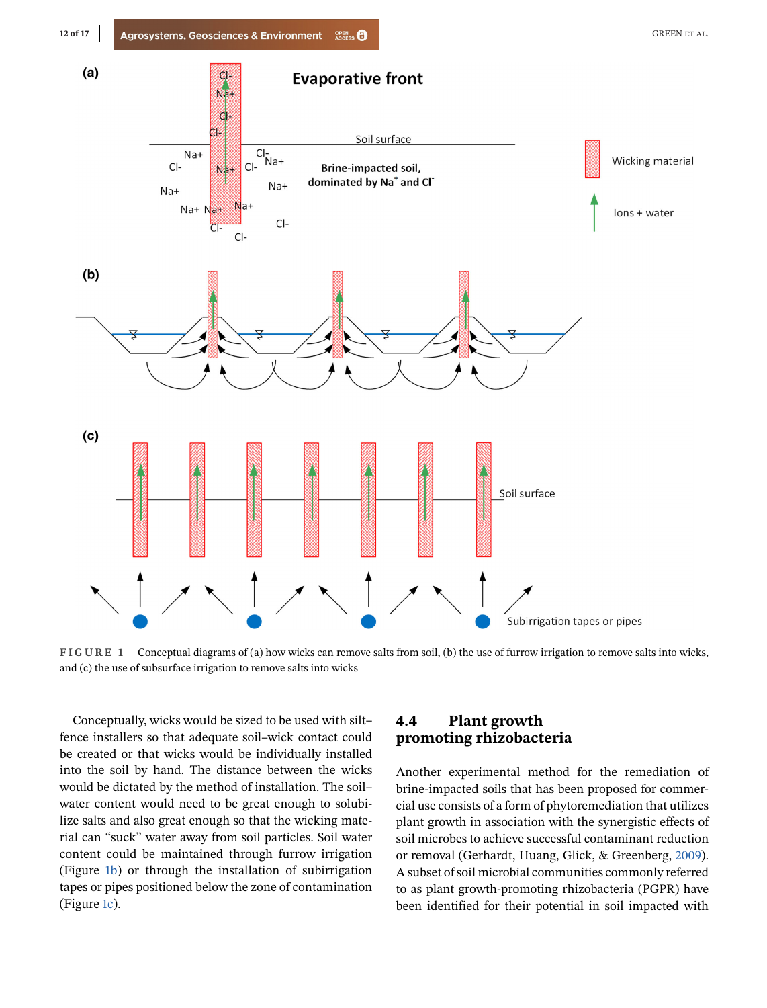<span id="page-11-0"></span>

**FIGURE 1** Conceptual diagrams of (a) how wicks can remove salts from soil, (b) the use of furrow irrigation to remove salts into wicks, and (c) the use of subsurface irrigation to remove salts into wicks

Conceptually, wicks would be sized to be used with silt– fence installers so that adequate soil–wick contact could be created or that wicks would be individually installed into the soil by hand. The distance between the wicks would be dictated by the method of installation. The soil– water content would need to be great enough to solubilize salts and also great enough so that the wicking material can "suck" water away from soil particles. Soil water content could be maintained through furrow irrigation (Figure 1b) or through the installation of subirrigation tapes or pipes positioned below the zone of contamination (Figure 1c).

# **4.4 Plant growth promoting rhizobacteria**

Another experimental method for the remediation of brine-impacted soils that has been proposed for commercial use consists of a form of phytoremediation that utilizes plant growth in association with the synergistic effects of soil microbes to achieve successful contaminant reduction or removal (Gerhardt, Huang, Glick, & Greenberg, 2009). A subset of soil microbial communities commonly referred to as plant growth-promoting rhizobacteria (PGPR) have been identified for their potential in soil impacted with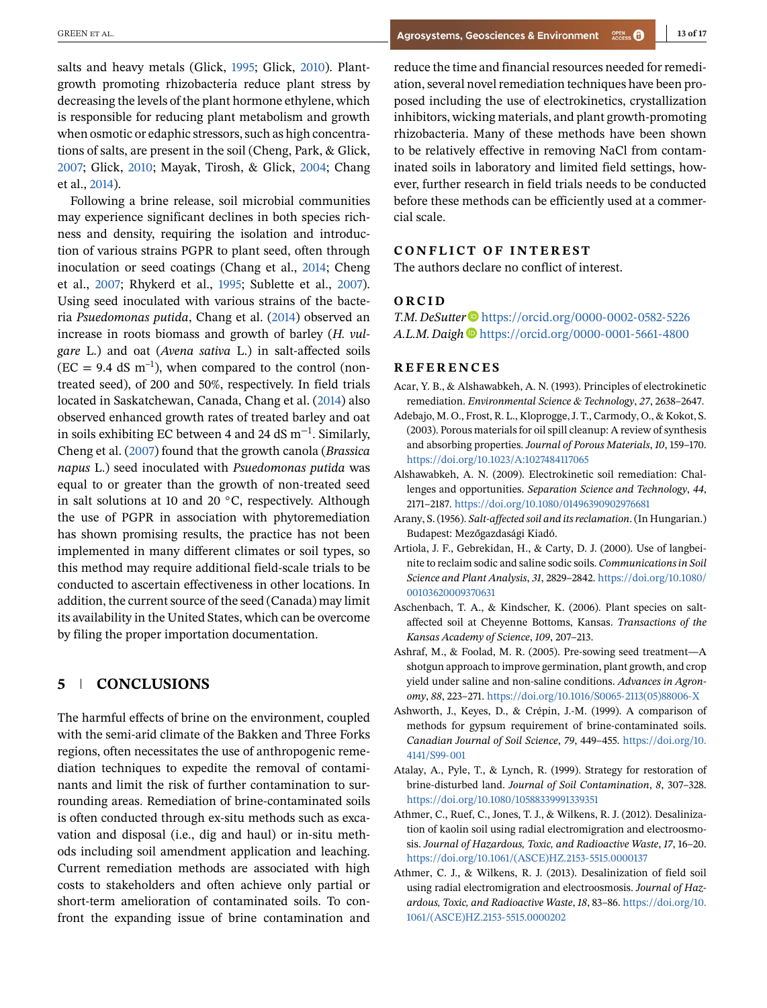salts and heavy metals (Glick, 1995; Glick, 2010). Plantgrowth promoting rhizobacteria reduce plant stress by decreasing the levels of the plant hormone ethylene, which is responsible for reducing plant metabolism and growth when osmotic or edaphic stressors, such as high concentrations of salts, are present in the soil (Cheng, Park, & Glick, 2007; Glick, 2010; Mayak, Tirosh, & Glick, 2004; Chang et al., 2014).

Following a brine release, soil microbial communities may experience significant declines in both species richness and density, requiring the isolation and introduction of various strains PGPR to plant seed, often through inoculation or seed coatings (Chang et al., 2014; Cheng et al., 2007; Rhykerd et al., 1995; Sublette et al., 2007). Using seed inoculated with various strains of the bacteria *Psuedomonas putida*, Chang et al. (2014) observed an increase in roots biomass and growth of barley (*H. vulgare* L.) and oat (*Avena sativa* L.) in salt-affected soils  $(EC = 9.4 \text{ dS m}^{-1})$ , when compared to the control (nontreated seed), of 200 and 50%, respectively. In field trials located in Saskatchewan, Canada, Chang et al. (2014) also observed enhanced growth rates of treated barley and oat in soils exhibiting EC between 4 and 24 dS  $\mathrm{m}^{-1}.$  Similarly, Cheng et al. (2007) found that the growth canola (*Brassica napus* L.) seed inoculated with *Psuedomonas putida* was equal to or greater than the growth of non-treated seed in salt solutions at 10 and 20 ◦C, respectively. Although the use of PGPR in association with phytoremediation has shown promising results, the practice has not been implemented in many different climates or soil types, so this method may require additional field-scale trials to be conducted to ascertain effectiveness in other locations. In addition, the current source of the seed (Canada) may limit its availability in the United States, which can be overcome by filing the proper importation documentation.

# **5 CONCLUSIONS**

The harmful effects of brine on the environment, coupled with the semi-arid climate of the Bakken and Three Forks regions, often necessitates the use of anthropogenic remediation techniques to expedite the removal of contaminants and limit the risk of further contamination to surrounding areas. Remediation of brine-contaminated soils is often conducted through ex-situ methods such as excavation and disposal (i.e., dig and haul) or in-situ methods including soil amendment application and leaching. Current remediation methods are associated with high costs to stakeholders and often achieve only partial or short-term amelioration of contaminated soils. To confront the expanding issue of brine contamination and reduce the time and financial resources needed for remediation, several novel remediation techniques have been proposed including the use of electrokinetics, crystallization inhibitors, wicking materials, and plant growth-promoting rhizobacteria. Many of these methods have been shown to be relatively effective in removing NaCl from contaminated soils in laboratory and limited field settings, however, further research in field trials needs to be conducted before these methods can be efficiently used at a commercial scale.

#### **CONFLICT OF INTEREST**

The authors declare no conflict of interest.

#### **ORCID**

*T.M. DeSutter* <https://orcid.org/0000-0002-0582-5226> *A.L.M. Daigh* <https://orcid.org/0000-0001-5661-4800>

#### **REFERENCES**

- Acar, Y. B., & Alshawabkeh, A. N. (1993). Principles of electrokinetic remediation. *Environmental Science & Technology*, *27*, 2638–2647.
- Adebajo, M. O., Frost, R. L., Kloprogge, J. T., Carmody, O., & Kokot, S. (2003). Porous materials for oil spill cleanup: A review of synthesis and absorbing properties. *Journal of Porous Materials*, *10*, 159–170. <https://doi.org/10.1023/A:1027484117065>
- Alshawabkeh, A. N. (2009). Electrokinetic soil remediation: Challenges and opportunities. *Separation Science and Technology*, *44*, 2171–2187. <https://doi.org/10.1080/01496390902976681>
- Arany, S. (1956). *Salt-affected soil and its reclamation*. (In Hungarian.) Budapest: Mezőgazdasági Kiadó.
- Artiola, J. F., Gebrekidan, H., & Carty, D. J. (2000). Use of langbeinite to reclaim sodic and saline sodic soils. *Communications in Soil Science and Plant Analysis*, *31*, 2829–2842. [https://doi.org/10.1080/](https://doi.org/10.1080/00103620009370631) [00103620009370631](https://doi.org/10.1080/00103620009370631)
- Aschenbach, T. A., & Kindscher, K. (2006). Plant species on saltaffected soil at Cheyenne Bottoms, Kansas. *Transactions of the Kansas Academy of Science*, *109*, 207–213.
- Ashraf, M., & Foolad, M. R. (2005). Pre-sowing seed treatment—A shotgun approach to improve germination, plant growth, and crop yield under saline and non-saline conditions. *Advances in Agronomy*, *88*, 223–271. [https://doi.org/10.1016/S0065-2113\(05\)88006-X](https://doi.org/10.1016/S0065-2113(05)88006-X)
- Ashworth, J., Keyes, D., & Crépin, J.-M. (1999). A comparison of methods for gypsum requirement of brine-contaminated soils. *Canadian Journal of Soil Science*, *79*, 449–455. [https://doi.org/10.](https://doi.org/10.4141/S99-001) [4141/S99-001](https://doi.org/10.4141/S99-001)
- Atalay, A., Pyle, T., & Lynch, R. (1999). Strategy for restoration of brine-disturbed land. *Journal of Soil Contamination*, *8*, 307–328. <https://doi.org/10.1080/10588339991339351>
- Athmer, C., Ruef, C., Jones, T. J., & Wilkens, R. J. (2012). Desalinization of kaolin soil using radial electromigration and electroosmosis. *Journal of Hazardous, Toxic, and Radioactive Waste*, *17*, 16–20. [https://doi.org/10.1061/\(ASCE\)HZ.2153-5515.0000137](https://doi.org/10.1061/(ASCE)HZ.2153-5515.0000137)
- Athmer, C. J., & Wilkens, R. J. (2013). Desalinization of field soil using radial electromigration and electroosmosis. *Journal of Hazardous, Toxic, and Radioactive Waste*, *18*, 83–86. [https://doi.org/10.](https://doi.org/10.1061/(ASCE)HZ.2153-5515.0000202) [1061/\(ASCE\)HZ.2153-5515.0000202](https://doi.org/10.1061/(ASCE)HZ.2153-5515.0000202)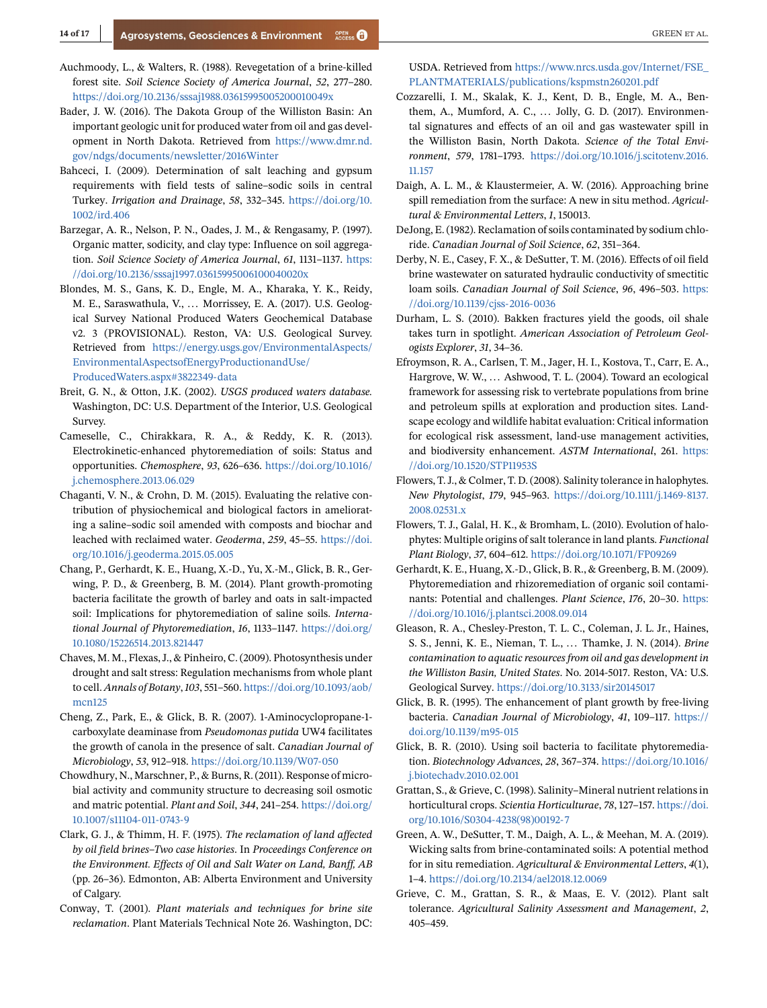- Auchmoody, L., & Walters, R. (1988). Revegetation of a brine-killed forest site. *Soil Science Society of America Journal*, *52*, 277–280. <https://doi.org/10.2136/sssaj1988.03615995005200010049x>
- Bader, J. W. (2016). The Dakota Group of the Williston Basin: An important geologic unit for produced water from oil and gas development in North Dakota. Retrieved from [https://www.dmr.nd.](https://www.dmr.nd.gov/ndgs/documents/newsletter/2016Winter) [gov/ndgs/documents/newsletter/2016Winter](https://www.dmr.nd.gov/ndgs/documents/newsletter/2016Winter)
- Bahceci, I. (2009). Determination of salt leaching and gypsum requirements with field tests of saline–sodic soils in central Turkey. *Irrigation and Drainage*, *58*, 332–345. [https://doi.org/10.](https://doi.org/10.1002/ird.406) [1002/ird.406](https://doi.org/10.1002/ird.406)
- Barzegar, A. R., Nelson, P. N., Oades, J. M., & Rengasamy, P. (1997). Organic matter, sodicity, and clay type: Influence on soil aggregation. *Soil Science Society of America Journal*, *61*, 1131–1137. [https:](https://doi.org/10.2136/sssaj1997.03615995006100040020x) [//doi.org/10.2136/sssaj1997.03615995006100040020x](https://doi.org/10.2136/sssaj1997.03615995006100040020x)
- Blondes, M. S., Gans, K. D., Engle, M. A., Kharaka, Y. K., Reidy, M. E., Saraswathula, V., ... Morrissey, E. A. (2017). U.S. Geological Survey National Produced Waters Geochemical Database v2. 3 (PROVISIONAL). Reston, VA: U.S. Geological Survey. Retrieved from [https://energy.usgs.gov/EnvironmentalAspects/](https://energy.usgs.gov/EnvironmentalAspects/EnvironmentalAspectsofEnergyProductionandUse/ProducedWaters.aspx#3822349-data) [EnvironmentalAspectsofEnergyProductionandUse/](https://energy.usgs.gov/EnvironmentalAspects/EnvironmentalAspectsofEnergyProductionandUse/ProducedWaters.aspx#3822349-data) [ProducedWaters.aspx#3822349-data](https://energy.usgs.gov/EnvironmentalAspects/EnvironmentalAspectsofEnergyProductionandUse/ProducedWaters.aspx#3822349-data)
- Breit, G. N., & Otton, J.K. (2002). *USGS produced waters database.* Washington, DC: U.S. Department of the Interior, U.S. Geological Survey.
- Cameselle, C., Chirakkara, R. A., & Reddy, K. R. (2013). Electrokinetic-enhanced phytoremediation of soils: Status and opportunities. *Chemosphere*, *93*, 626–636. [https://doi.org/10.1016/](https://doi.org/10.1016/j.chemosphere.2013.06.029) [j.chemosphere.2013.06.029](https://doi.org/10.1016/j.chemosphere.2013.06.029)
- Chaganti, V. N., & Crohn, D. M. (2015). Evaluating the relative contribution of physiochemical and biological factors in ameliorating a saline–sodic soil amended with composts and biochar and leached with reclaimed water. *Geoderma*, *259*, 45–55. [https://doi.](https://doi.org/10.1016/j.geoderma.2015.05.005) [org/10.1016/j.geoderma.2015.05.005](https://doi.org/10.1016/j.geoderma.2015.05.005)
- Chang, P., Gerhardt, K. E., Huang, X.-D., Yu, X.-M., Glick, B. R., Gerwing, P. D., & Greenberg, B. M. (2014). Plant growth-promoting bacteria facilitate the growth of barley and oats in salt-impacted soil: Implications for phytoremediation of saline soils. *International Journal of Phytoremediation*, *16*, 1133–1147. [https://doi.org/](https://doi.org/10.1080/15226514.2013.821447) [10.1080/15226514.2013.821447](https://doi.org/10.1080/15226514.2013.821447)
- Chaves, M. M., Flexas, J., & Pinheiro, C. (2009). Photosynthesis under drought and salt stress: Regulation mechanisms from whole plant to cell. *Annals of Botany*,*103*, 551–560. [https://doi.org/10.1093/aob/](https://doi.org/10.1093/aob/mcn125) mcn<sub>125</sub>
- Cheng, Z., Park, E., & Glick, B. R. (2007). 1-Aminocyclopropane-1 carboxylate deaminase from *Pseudomonas putida* UW4 facilitates the growth of canola in the presence of salt. *Canadian Journal of Microbiology*, *53*, 912–918. <https://doi.org/10.1139/W07-050>
- Chowdhury, N., Marschner, P., & Burns, R. (2011). Response of microbial activity and community structure to decreasing soil osmotic and matric potential. *Plant and Soil*, *344*, 241–254. [https://doi.org/](https://doi.org/10.1007/s11104-011-0743-9) [10.1007/s11104-011-0743-9](https://doi.org/10.1007/s11104-011-0743-9)
- Clark, G. J., & Thimm, H. F. (1975). *The reclamation of land affected by oil field brines–Two case histories*. In *Proceedings Conference on the Environment. Effects of Oil and Salt Water on Land, Banff, AB* (pp. 26–36). Edmonton, AB: Alberta Environment and University of Calgary.
- Conway, T. (2001). *Plant materials and techniques for brine site reclamation*. Plant Materials Technical Note 26. Washington, DC:

USDA. Retrieved from [https://www.nrcs.usda.gov/Internet/FSE\\_](https://www.nrcs.usda.gov/Internet/FSE_PLANTMATERIALS/publications/kspmstn260201.pdf) [PLANTMATERIALS/publications/kspmstn260201.pdf](https://www.nrcs.usda.gov/Internet/FSE_PLANTMATERIALS/publications/kspmstn260201.pdf)

- Cozzarelli, I. M., Skalak, K. J., Kent, D. B., Engle, M. A., Benthem, A., Mumford, A. C., ... Jolly, G. D. (2017). Environmental signatures and effects of an oil and gas wastewater spill in the Williston Basin, North Dakota. *Science of the Total Environment*, *579*, 1781–1793. [https://doi.org/10.1016/j.scitotenv.2016.](https://doi.org/10.1016/j.scitotenv.2016.11.157) [11.157](https://doi.org/10.1016/j.scitotenv.2016.11.157)
- Daigh, A. L. M., & Klaustermeier, A. W. (2016). Approaching brine spill remediation from the surface: A new in situ method. *Agricultural & Environmental Letters*, *1*, 150013.
- DeJong, E. (1982). Reclamation of soils contaminated by sodium chloride. *Canadian Journal of Soil Science*, *62*, 351–364.
- Derby, N. E., Casey, F. X., & DeSutter, T. M. (2016). Effects of oil field brine wastewater on saturated hydraulic conductivity of smectitic loam soils. *Canadian Journal of Soil Science*, *96*, 496–503. [https:](https://doi.org/10.1139/cjss-2016-0036) [//doi.org/10.1139/cjss-2016-0036](https://doi.org/10.1139/cjss-2016-0036)
- Durham, L. S. (2010). Bakken fractures yield the goods, oil shale takes turn in spotlight. *American Association of Petroleum Geologists Explorer*, *31*, 34–36.
- Efroymson, R. A., Carlsen, T. M., Jager, H. I., Kostova, T., Carr, E. A., Hargrove, W. W., ... Ashwood, T. L. (2004). Toward an ecological framework for assessing risk to vertebrate populations from brine and petroleum spills at exploration and production sites. Landscape ecology and wildlife habitat evaluation: Critical information for ecological risk assessment, land-use management activities, and biodiversity enhancement. *ASTM International*, 261. [https:](https://doi.org/10.1520/STP11953S) [//doi.org/10.1520/STP11953S](https://doi.org/10.1520/STP11953S)
- Flowers, T. J., & Colmer, T. D. (2008). Salinity tolerance in halophytes. *New Phytologist*, *179*, 945–963. [https://doi.org/10.1111/j.1469-8137.](https://doi.org/10.1111/j.1469-8137.2008.02531.x) [2008.02531.x](https://doi.org/10.1111/j.1469-8137.2008.02531.x)
- Flowers, T. J., Galal, H. K., & Bromham, L. (2010). Evolution of halophytes: Multiple origins of salt tolerance in land plants. *Functional Plant Biology*, *37*, 604–612. <https://doi.org/10.1071/FP09269>
- Gerhardt, K. E., Huang, X.-D., Glick, B. R., & Greenberg, B. M. (2009). Phytoremediation and rhizoremediation of organic soil contaminants: Potential and challenges. *Plant Science*, *176*, 20–30. [https:](https://doi.org/10.1016/j.plantsci.2008.09.014) [//doi.org/10.1016/j.plantsci.2008.09.014](https://doi.org/10.1016/j.plantsci.2008.09.014)
- Gleason, R. A., Chesley-Preston, T. L. C., Coleman, J. L. Jr., Haines, S. S., Jenni, K. E., Nieman, T. L., ... Thamke, J. N. (2014). *Brine contamination to aquatic resources from oil and gas development in the Williston Basin, United States*. No. 2014-5017. Reston, VA: U.S. Geological Survey. <https://doi.org/10.3133/sir20145017>
- Glick, B. R. (1995). The enhancement of plant growth by free-living bacteria. *Canadian Journal of Microbiology*, *41*, 109–117. [https://](https://doi.org/10.1139/m95-015) [doi.org/10.1139/m95-015](https://doi.org/10.1139/m95-015)
- Glick, B. R. (2010). Using soil bacteria to facilitate phytoremediation. *Biotechnology Advances*, *28*, 367–374. [https://doi.org/10.1016/](https://doi.org/10.1016/j.biotechadv.2010.02.001) [j.biotechadv.2010.02.001](https://doi.org/10.1016/j.biotechadv.2010.02.001)
- Grattan, S., & Grieve, C. (1998). Salinity–Mineral nutrient relations in horticultural crops. *Scientia Horticulturae*, *78*, 127–157. [https://doi.](https://doi.org/10.1016/S0304-4238(98)00192-7) [org/10.1016/S0304-4238\(98\)00192-7](https://doi.org/10.1016/S0304-4238(98)00192-7)
- Green, A. W., DeSutter, T. M., Daigh, A. L., & Meehan, M. A. (2019). Wicking salts from brine-contaminated soils: A potential method for in situ remediation. *Agricultural & Environmental Letters*, *4*(1), 1–4. <https://doi.org/10.2134/ael2018.12.0069>
- Grieve, C. M., Grattan, S. R., & Maas, E. V. (2012). Plant salt tolerance. *Agricultural Salinity Assessment and Management*, *2*, 405–459.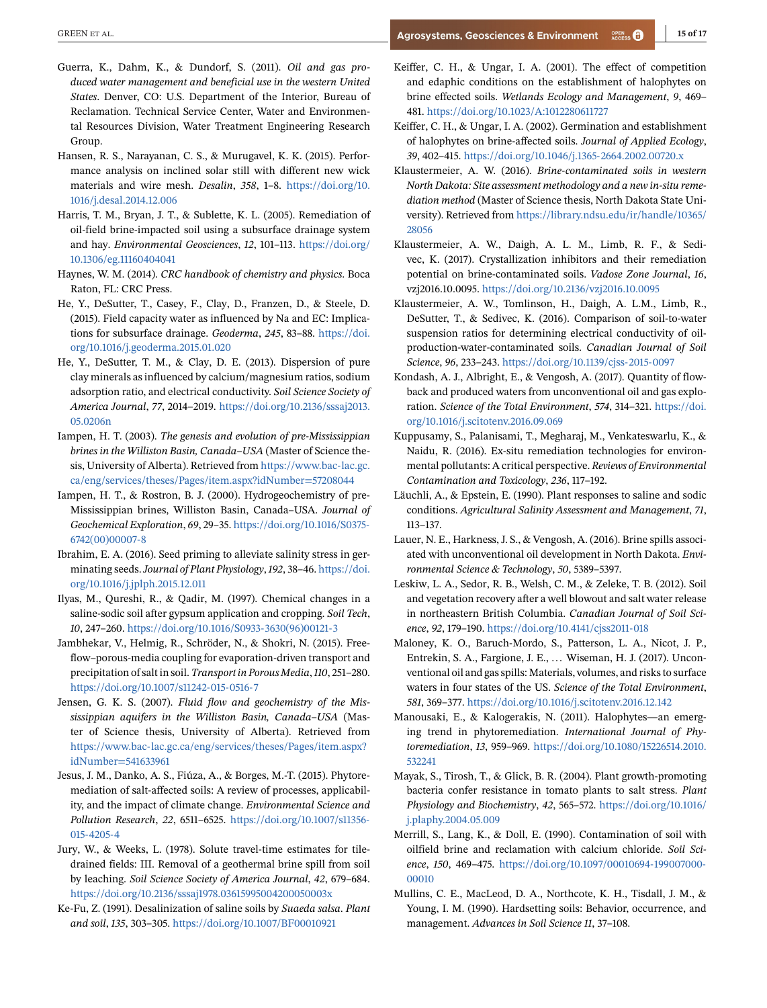- Guerra, K., Dahm, K., & Dundorf, S. (2011). *Oil and gas produced water management and beneficial use in the western United States*. Denver, CO: U.S. Department of the Interior, Bureau of Reclamation. Technical Service Center, Water and Environmental Resources Division, Water Treatment Engineering Research Group.
- Hansen, R. S., Narayanan, C. S., & Murugavel, K. K. (2015). Performance analysis on inclined solar still with different new wick materials and wire mesh. *Desalin*, *358*, 1–8. [https://doi.org/10.](https://doi.org/10.1016/j.desal.2014.12.006) [1016/j.desal.2014.12.006](https://doi.org/10.1016/j.desal.2014.12.006)
- Harris, T. M., Bryan, J. T., & Sublette, K. L. (2005). Remediation of oil-field brine-impacted soil using a subsurface drainage system and hay. *Environmental Geosciences*, *12*, 101–113. [https://doi.org/](https://doi.org/10.1306/eg.11160404041) [10.1306/eg.11160404041](https://doi.org/10.1306/eg.11160404041)
- Haynes, W. M. (2014). *CRC handbook of chemistry and physics*. Boca Raton, FL: CRC Press.
- He, Y., DeSutter, T., Casey, F., Clay, D., Franzen, D., & Steele, D. (2015). Field capacity water as influenced by Na and EC: Implications for subsurface drainage. *Geoderma*, *245*, 83–88. [https://doi.](https://doi.org/10.1016/j.geoderma.2015.01.020) [org/10.1016/j.geoderma.2015.01.020](https://doi.org/10.1016/j.geoderma.2015.01.020)
- He, Y., DeSutter, T. M., & Clay, D. E. (2013). Dispersion of pure clay minerals as influenced by calcium/magnesium ratios, sodium adsorption ratio, and electrical conductivity. *Soil Science Society of America Journal*, *77*, 2014–2019. [https://doi.org/10.2136/sssaj2013.](https://doi.org/10.2136/sssaj2013.05.0206n) [05.0206n](https://doi.org/10.2136/sssaj2013.05.0206n)
- Iampen, H. T. (2003). *The genesis and evolution of pre-Mississippian brines in the Williston Basin, Canada–USA* (Master of Science thesis, University of Alberta). Retrieved from [https://www.bac-lac.gc.](https://www.bac-lac.gc.ca/eng/services/theses/Pages/item.aspx?idNumber=57208044) [ca/eng/services/theses/Pages/item.aspx?idNumber=57208044](https://www.bac-lac.gc.ca/eng/services/theses/Pages/item.aspx?idNumber=57208044)
- Iampen, H. T., & Rostron, B. J. (2000). Hydrogeochemistry of pre-Mississippian brines, Williston Basin, Canada–USA. *Journal of Geochemical Exploration*, *69*, 29–35. [https://doi.org/10.1016/S0375-](https://doi.org/10.1016/S0375-6742(00)00007-8) [6742\(00\)00007-8](https://doi.org/10.1016/S0375-6742(00)00007-8)
- Ibrahim, E. A. (2016). Seed priming to alleviate salinity stress in germinating seeds.*Journal of Plant Physiology*,*192*, 38–46. [https://doi.](https://doi.org/10.1016/j.jplph.2015.12.011) [org/10.1016/j.jplph.2015.12.011](https://doi.org/10.1016/j.jplph.2015.12.011)
- Ilyas, M., Qureshi, R., & Qadir, M. (1997). Chemical changes in a saline-sodic soil after gypsum application and cropping. *Soil Tech*, *10*, 247–260. [https://doi.org/10.1016/S0933-3630\(96\)00121-3](https://doi.org/10.1016/S0933-3630(96)00121-3)
- Jambhekar, V., Helmig, R., Schröder, N., & Shokri, N. (2015). Freeflow–porous-media coupling for evaporation-driven transport and precipitation of salt in soil. *Transport in Porous Media*,*110*, 251–280. <https://doi.org/10.1007/s11242-015-0516-7>
- Jensen, G. K. S. (2007). *Fluid flow and geochemistry of the Mississippian aquifers in the Williston Basin, Canada–USA* (Master of Science thesis, University of Alberta). Retrieved from [https://www.bac-lac.gc.ca/eng/services/theses/Pages/item.aspx?](https://www.bac-lac.gc.ca/eng/services/theses/Pages/item.aspx?idNumber=541633961) [idNumber=541633961](https://www.bac-lac.gc.ca/eng/services/theses/Pages/item.aspx?idNumber=541633961)
- Jesus, J. M., Danko, A. S., Fiúza, A., & Borges, M.-T. (2015). Phytoremediation of salt-affected soils: A review of processes, applicability, and the impact of climate change. *Environmental Science and Pollution Research*, *22*, 6511–6525. [https://doi.org/10.1007/s11356-](https://doi.org/10.1007/s11356-015-4205-4) [015-4205-4](https://doi.org/10.1007/s11356-015-4205-4)
- Jury, W., & Weeks, L. (1978). Solute travel-time estimates for tiledrained fields: III. Removal of a geothermal brine spill from soil by leaching. *Soil Science Society of America Journal*, *42*, 679–684. <https://doi.org/10.2136/sssaj1978.03615995004200050003x>
- Ke-Fu, Z. (1991). Desalinization of saline soils by *Suaeda salsa*. *Plant and soil*, *135*, 303–305. <https://doi.org/10.1007/BF00010921>
- Keiffer, C. H., & Ungar, I. A. (2001). The effect of competition and edaphic conditions on the establishment of halophytes on brine effected soils. *Wetlands Ecology and Management*, *9*, 469– 481. <https://doi.org/10.1023/A:1012280611727>
- Keiffer, C. H., & Ungar, I. A. (2002). Germination and establishment of halophytes on brine-affected soils. *Journal of Applied Ecology*, *39*, 402–415. <https://doi.org/10.1046/j.1365-2664.2002.00720.x>
- Klaustermeier, A. W. (2016). *Brine-contaminated soils in western North Dakota: Site assessment methodology and a new in-situ remediation method* (Master of Science thesis, North Dakota State University). Retrieved from [https://library.ndsu.edu/ir/handle/10365/](https://library.ndsu.edu/ir/handle/10365/28056) [28056](https://library.ndsu.edu/ir/handle/10365/28056)
- Klaustermeier, A. W., Daigh, A. L. M., Limb, R. F., & Sedivec, K. (2017). Crystallization inhibitors and their remediation potential on brine-contaminated soils. *Vadose Zone Journal*, *16*, vzj2016.10.0095. <https://doi.org/10.2136/vzj2016.10.0095>
- Klaustermeier, A. W., Tomlinson, H., Daigh, A. L.M., Limb, R., DeSutter, T., & Sedivec, K. (2016). Comparison of soil-to-water suspension ratios for determining electrical conductivity of oilproduction-water-contaminated soils. *Canadian Journal of Soil Science*, *96*, 233–243. <https://doi.org/10.1139/cjss-2015-0097>
- Kondash, A. J., Albright, E., & Vengosh, A. (2017). Quantity of flowback and produced waters from unconventional oil and gas exploration. *Science of the Total Environment*, *574*, 314–321. [https://doi.](https://doi.org/10.1016/j.scitotenv.2016.09.069) [org/10.1016/j.scitotenv.2016.09.069](https://doi.org/10.1016/j.scitotenv.2016.09.069)
- Kuppusamy, S., Palanisami, T., Megharaj, M., Venkateswarlu, K., & Naidu, R. (2016). Ex-situ remediation technologies for environmental pollutants: A critical perspective. *Reviews of Environmental Contamination and Toxicology*, *236*, 117–192.
- Läuchli, A., & Epstein, E. (1990). Plant responses to saline and sodic conditions. *Agricultural Salinity Assessment and Management*, *71*, 113–137.
- Lauer, N. E., Harkness, J. S., & Vengosh, A. (2016). Brine spills associated with unconventional oil development in North Dakota. *Environmental Science & Technology*, *50*, 5389–5397.
- Leskiw, L. A., Sedor, R. B., Welsh, C. M., & Zeleke, T. B. (2012). Soil and vegetation recovery after a well blowout and salt water release in northeastern British Columbia. *Canadian Journal of Soil Science*, *92*, 179–190. <https://doi.org/10.4141/cjss2011-018>
- Maloney, K. O., Baruch-Mordo, S., Patterson, L. A., Nicot, J. P., Entrekin, S. A., Fargione, J. E., ... Wiseman, H. J. (2017). Unconventional oil and gas spills: Materials, volumes, and risks to surface waters in four states of the US. *Science of the Total Environment*, *581*, 369–377. <https://doi.org/10.1016/j.scitotenv.2016.12.142>
- Manousaki, E., & Kalogerakis, N. (2011). Halophytes—an emerging trend in phytoremediation. *International Journal of Phytoremediation*, *13*, 959–969. [https://doi.org/10.1080/15226514.2010.](https://doi.org/10.1080/15226514.2010.532241) [532241](https://doi.org/10.1080/15226514.2010.532241)
- Mayak, S., Tirosh, T., & Glick, B. R. (2004). Plant growth-promoting bacteria confer resistance in tomato plants to salt stress. *Plant Physiology and Biochemistry*, *42*, 565–572. [https://doi.org/10.1016/](https://doi.org/10.1016/j.plaphy.2004.05.009) [j.plaphy.2004.05.009](https://doi.org/10.1016/j.plaphy.2004.05.009)
- Merrill, S., Lang, K., & Doll, E. (1990). Contamination of soil with oilfield brine and reclamation with calcium chloride. *Soil Science*, *150*, 469–475. [https://doi.org/10.1097/00010694-199007000-](https://doi.org/10.1097/00010694-199007000-00010) [00010](https://doi.org/10.1097/00010694-199007000-00010)
- Mullins, C. E., MacLeod, D. A., Northcote, K. H., Tisdall, J. M., & Young, I. M. (1990). Hardsetting soils: Behavior, occurrence, and management. *Advances in Soil Science 11*, 37–108.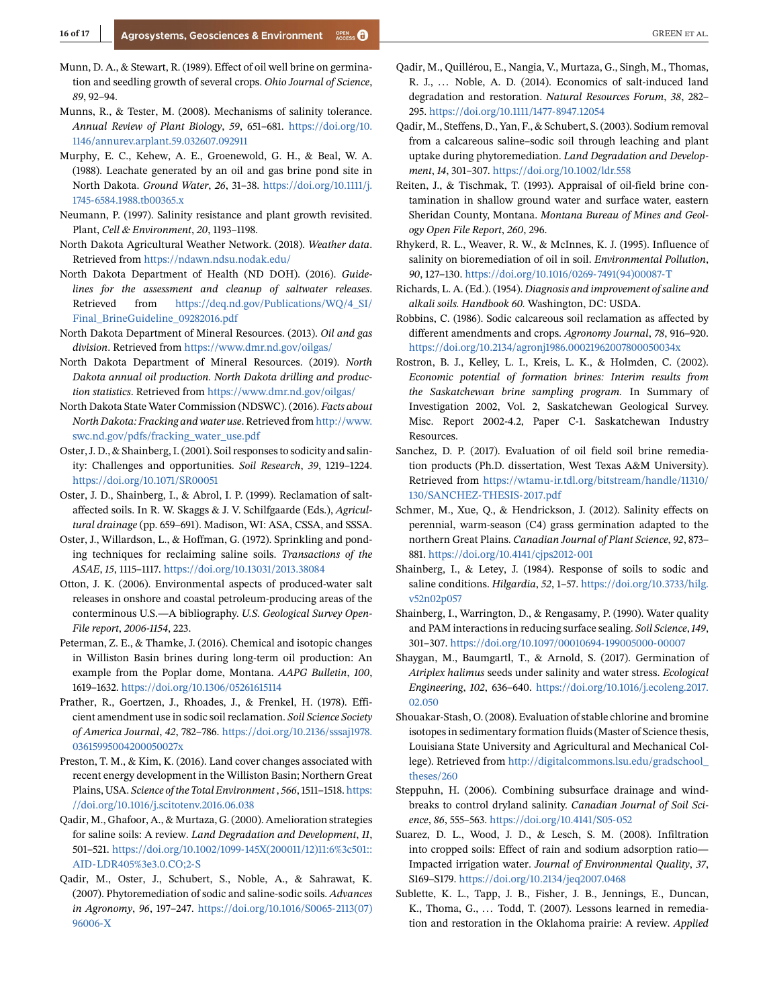Munn, D. A., & Stewart, R. (1989). Effect of oil well brine on germination and seedling growth of several crops. *Ohio Journal of Science*, *89*, 92–94.

- Munns, R., & Tester, M. (2008). Mechanisms of salinity tolerance. *Annual Review of Plant Biology*, *59*, 651–681. [https://doi.org/10.](https://doi.org/10.1146/annurev.arplant.59.032607.092911) [1146/annurev.arplant.59.032607.092911](https://doi.org/10.1146/annurev.arplant.59.032607.092911)
- Murphy, E. C., Kehew, A. E., Groenewold, G. H., & Beal, W. A. (1988). Leachate generated by an oil and gas brine pond site in North Dakota. *Ground Water*, *26*, 31–38. [https://doi.org/10.1111/j.](https://doi.org/10.1111/j.1745-6584.1988.tb00365.x) [1745-6584.1988.tb00365.x](https://doi.org/10.1111/j.1745-6584.1988.tb00365.x)
- Neumann, P. (1997). Salinity resistance and plant growth revisited. Plant, *Cell & Environment*, *20*, 1193–1198.
- North Dakota Agricultural Weather Network. (2018). *Weather data*. Retrieved from <https://ndawn.ndsu.nodak.edu/>
- North Dakota Department of Health (ND DOH). (2016). *Guidelines for the assessment and cleanup of saltwater releases*. Retrieved from [https://deq.nd.gov/Publications/WQ/4\\_SI/](https://deq.nd.gov/Publications/WQ/4_SI/Final_BrineGuideline_09282016.pdf) [Final\\_BrineGuideline\\_09282016.pdf](https://deq.nd.gov/Publications/WQ/4_SI/Final_BrineGuideline_09282016.pdf)
- North Dakota Department of Mineral Resources. (2013). *Oil and gas division*. Retrieved from <https://www.dmr.nd.gov/oilgas/>
- North Dakota Department of Mineral Resources. (2019). *North Dakota annual oil production. North Dakota drilling and production statistics*. Retrieved from <https://www.dmr.nd.gov/oilgas/>
- North Dakota State Water Commission (NDSWC). (2016). *Facts about North Dakota: Fracking and water use*. Retrieved from [http://www.](http://www.swc.nd.gov/pdfs/fracking_water_use.pdf) [swc.nd.gov/pdfs/fracking\\_water\\_use.pdf](http://www.swc.nd.gov/pdfs/fracking_water_use.pdf)
- Oster, J. D., & Shainberg, I. (2001). Soil responses to sodicity and salinity: Challenges and opportunities. *Soil Research*, *39*, 1219–1224. <https://doi.org/10.1071/SR00051>
- Oster, J. D., Shainberg, I., & Abrol, I. P. (1999). Reclamation of saltaffected soils. In R. W. Skaggs & J. V. Schilfgaarde (Eds.), *Agricultural drainage* (pp. 659–691). Madison, WI: ASA, CSSA, and SSSA.
- Oster, J., Willardson, L., & Hoffman, G. (1972). Sprinkling and ponding techniques for reclaiming saline soils. *Transactions of the ASAE*, *15*, 1115–1117. <https://doi.org/10.13031/2013.38084>
- Otton, J. K. (2006). Environmental aspects of produced-water salt releases in onshore and coastal petroleum-producing areas of the conterminous U.S.—A bibliography. *U.S. Geological Survey Open-File report*, *2006-1154*, 223.
- Peterman, Z. E., & Thamke, J. (2016). Chemical and isotopic changes in Williston Basin brines during long-term oil production: An example from the Poplar dome, Montana. *AAPG Bulletin*, *100*, 1619–1632. <https://doi.org/10.1306/05261615114>
- Prather, R., Goertzen, J., Rhoades, J., & Frenkel, H. (1978). Efficient amendment use in sodic soil reclamation. *Soil Science Society of America Journal*, *42*, 782–786. [https://doi.org/10.2136/sssaj1978.](https://doi.org/10.2136/sssaj1978.03615995004200050027x) [03615995004200050027x](https://doi.org/10.2136/sssaj1978.03615995004200050027x)
- Preston, T. M., & Kim, K. (2016). Land cover changes associated with recent energy development in the Williston Basin; Northern Great Plains, USA. *Science of the Total Environment* , *566*, 1511–1518. [https:](https://doi.org/10.1016/j.scitotenv.2016.06.038) [//doi.org/10.1016/j.scitotenv.2016.06.038](https://doi.org/10.1016/j.scitotenv.2016.06.038)
- Qadir, M., Ghafoor, A., & Murtaza, G. (2000). Amelioration strategies for saline soils: A review. *Land Degradation and Development*, *11*, 501–521. [https://doi.org/10.1002/1099-145X\(200011/12\)11:6%3c501::](https://doi.org/10.1002/1099-145X(200011/12)11:6%3c501::AID-LDR405%3e3.0.CO;2-S) [AID-LDR405%3e3.0.CO;2-S](https://doi.org/10.1002/1099-145X(200011/12)11:6%3c501::AID-LDR405%3e3.0.CO;2-S)
- Qadir, M., Oster, J., Schubert, S., Noble, A., & Sahrawat, K. (2007). Phytoremediation of sodic and saline-sodic soils. *Advances in Agronomy*, *96*, 197–247. [https://doi.org/10.1016/S0065-2113\(07\)](https://doi.org/10.1016/S0065-2113(07)96006-X) [96006-X](https://doi.org/10.1016/S0065-2113(07)96006-X)
- Qadir, M., Quillérou, E., Nangia, V., Murtaza, G., Singh, M., Thomas, R. J., ... Noble, A. D. (2014). Economics of salt-induced land degradation and restoration. *Natural Resources Forum*, *38*, 282– 295. <https://doi.org/10.1111/1477-8947.12054>
- Qadir, M., Steffens, D., Yan, F., & Schubert, S. (2003). Sodium removal from a calcareous saline–sodic soil through leaching and plant uptake during phytoremediation. *Land Degradation and Development*, *14*, 301–307. <https://doi.org/10.1002/ldr.558>
- Reiten, J., & Tischmak, T. (1993). Appraisal of oil-field brine contamination in shallow ground water and surface water, eastern Sheridan County, Montana. *Montana Bureau of Mines and Geology Open File Report*, *260*, 296.
- Rhykerd, R. L., Weaver, R. W., & McInnes, K. J. (1995). Influence of salinity on bioremediation of oil in soil. *Environmental Pollution*, *90*, 127–130. [https://doi.org/10.1016/0269-7491\(94\)00087-T](https://doi.org/10.1016/0269-7491(94)00087-T)
- Richards, L. A. (Ed.). (1954). *Diagnosis and improvement of saline and alkali soils. Handbook 60.* Washington, DC: USDA.
- Robbins, C. (1986). Sodic calcareous soil reclamation as affected by different amendments and crops. *Agronomy Journal*, *78*, 916–920. <https://doi.org/10.2134/agronj1986.00021962007800050034x>
- Rostron, B. J., Kelley, L. I., Kreis, L. K., & Holmden, C. (2002). *Economic potential of formation brines: Interim results from the Saskatchewan brine sampling program.* In Summary of Investigation 2002, Vol. 2, Saskatchewan Geological Survey. Misc. Report 2002-4.2, Paper C-1. Saskatchewan Industry Resources.
- Sanchez, D. P. (2017). Evaluation of oil field soil brine remediation products (Ph.D. dissertation, West Texas A&M University). Retrieved from [https://wtamu-ir.tdl.org/bitstream/handle/11310/](https://wtamu-ir.tdl.org/bitstream/handle/11310/130/SANCHEZ-THESIS-2017.pdf) [130/SANCHEZ-THESIS-2017.pdf](https://wtamu-ir.tdl.org/bitstream/handle/11310/130/SANCHEZ-THESIS-2017.pdf)
- Schmer, M., Xue, Q., & Hendrickson, J. (2012). Salinity effects on perennial, warm-season (C4) grass germination adapted to the northern Great Plains. *Canadian Journal of Plant Science*, *92*, 873– 881. <https://doi.org/10.4141/cjps2012-001>
- Shainberg, I., & Letey, J. (1984). Response of soils to sodic and saline conditions. *Hilgardia*, *52*, 1–57. [https://doi.org/10.3733/hilg.](https://doi.org/10.3733/hilg.v52n02p057) [v52n02p057](https://doi.org/10.3733/hilg.v52n02p057)
- Shainberg, I., Warrington, D., & Rengasamy, P. (1990). Water quality and PAM interactions in reducing surface sealing. *Soil Science*,*149*, 301–307. <https://doi.org/10.1097/00010694-199005000-00007>
- Shaygan, M., Baumgartl, T., & Arnold, S. (2017). Germination of *Atriplex halimus* seeds under salinity and water stress. *Ecological Engineering*, *102*, 636–640. [https://doi.org/10.1016/j.ecoleng.2017.](https://doi.org/10.1016/j.ecoleng.2017.02.050) [02.050](https://doi.org/10.1016/j.ecoleng.2017.02.050)
- Shouakar-Stash, O. (2008). Evaluation of stable chlorine and bromine isotopes in sedimentary formation fluids (Master of Science thesis, Louisiana State University and Agricultural and Mechanical College). Retrieved from [http://digitalcommons.lsu.edu/gradschool\\_](http://digitalcommons.lsu.edu/gradschool_theses/260) [theses/260](http://digitalcommons.lsu.edu/gradschool_theses/260)
- Steppuhn, H. (2006). Combining subsurface drainage and windbreaks to control dryland salinity. *Canadian Journal of Soil Science*, *86*, 555–563. <https://doi.org/10.4141/S05-052>
- Suarez, D. L., Wood, J. D., & Lesch, S. M. (2008). Infiltration into cropped soils: Effect of rain and sodium adsorption ratio— Impacted irrigation water. *Journal of Environmental Quality*, *37*, S169–S179. <https://doi.org/10.2134/jeq2007.0468>
- Sublette, K. L., Tapp, J. B., Fisher, J. B., Jennings, E., Duncan, K., Thoma, G., ... Todd, T. (2007). Lessons learned in remediation and restoration in the Oklahoma prairie: A review. *Applied*